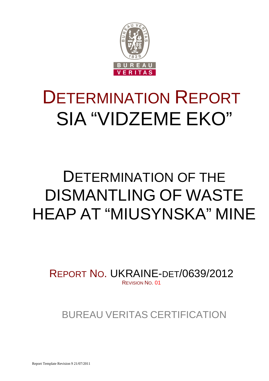

# DETERMINATION REPORT SIA "VIDZEME EKO"

# DETERMINATION OF THE DISMANTLING OF WASTE HEAP AT "MIUSYNSKA" MINE

REPORT NO. UKRAINE-DET/0639/2012 REVISION NO. 01

BUREAU VERITAS CERTIFICATION

Report Template Revision 9 21/07/2011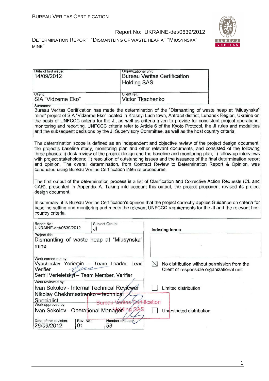DETERMINATION REPORT: "DISMANTLING OF WASTE HEAP AT "MIUSYNSKA" MINE"



| Date of first issue:<br>14/09/2012                                                                                                                                                                                                                                                                                                                                                                                                                                                                                                                                                                                                              | Organizational unit:<br><b>Holding SAS</b> | <b>Bureau Veritas Certification</b>                                                                     |  |  |  |
|-------------------------------------------------------------------------------------------------------------------------------------------------------------------------------------------------------------------------------------------------------------------------------------------------------------------------------------------------------------------------------------------------------------------------------------------------------------------------------------------------------------------------------------------------------------------------------------------------------------------------------------------------|--------------------------------------------|---------------------------------------------------------------------------------------------------------|--|--|--|
| Client:<br>SIA "Vidzeme Eko"                                                                                                                                                                                                                                                                                                                                                                                                                                                                                                                                                                                                                    | Client ref.:<br><b>Victor Tkachenko</b>    |                                                                                                         |  |  |  |
| Summary:<br>Bureau Veritas Certification has made the determination of the "Dismantling of waste heap at "Miusynska"<br>mine" project of SIA "Vidzeme Eko" located in Krasnyi Luch town, Antracit district, Luhansk Region, Ukraine on<br>the basis of UNFCCC criteria for the JI, as well as criteria given to provide for consistent project operations,<br>monitoring and reporting. UNFCCC criteria refer to Article 6 of the Kyoto Protocol, the JI rules and modalities<br>and the subsequent decisions by the JI Supervisory Committee, as well as the host country criteria.                                                            |                                            |                                                                                                         |  |  |  |
| The determination scope is defined as an independent and objective review of the project design document,<br>the project's baseline study, monitoring plan and other relevant documents, and consisted of the following<br>three phases: i) desk review of the project design and the baseline and monitoring plan; ii) follow-up interviews<br>with project stakeholders; iii) resolution of outstanding issues and the issuance of the final determination report<br>and opinion. The overall determination, from Contract Review to Determination Report & Opinion, was<br>conducted using Bureau Veritas Certification internal procedures. |                                            |                                                                                                         |  |  |  |
| The first output of the determination process is a list of Clarification and Corrective Action Requests (CL and<br>CAR), presented in Appendix A. Taking into account this output, the project proponent revised its project<br>design document.<br>In summary, it is Bureau Veritas Certification's opinion that the project correctly applies Guidance on criteria for<br>baseline setting and monitoring and meets the relevant UNFCCC requirements for the JI and the relevant host                                                                                                                                                         |                                            |                                                                                                         |  |  |  |
| country criteria.                                                                                                                                                                                                                                                                                                                                                                                                                                                                                                                                                                                                                               |                                            |                                                                                                         |  |  |  |
| Report No.:<br>Subject Group:<br>UKRAINE-det/0639/2012<br>JI                                                                                                                                                                                                                                                                                                                                                                                                                                                                                                                                                                                    |                                            | <b>Indexing terms</b>                                                                                   |  |  |  |
| Project title:<br>Dismantling of waste heap at "Miusynska"<br>mine                                                                                                                                                                                                                                                                                                                                                                                                                                                                                                                                                                              |                                            |                                                                                                         |  |  |  |
| Work carried out by:<br>Vyacheslav Yeriomin - Team Leader, Lead<br>Verifier                                                                                                                                                                                                                                                                                                                                                                                                                                                                                                                                                                     |                                            | $\boxtimes$<br>No distribution without permission from the<br>Client or responsible organizational unit |  |  |  |
| Serhii Verteletskyi - Team Member, Verifier<br>Work reviewed by:                                                                                                                                                                                                                                                                                                                                                                                                                                                                                                                                                                                |                                            |                                                                                                         |  |  |  |
| Ivan Sokolov - Internal Technical Reviewer                                                                                                                                                                                                                                                                                                                                                                                                                                                                                                                                                                                                      |                                            | Limited distribution                                                                                    |  |  |  |
| Nikolay Chekhmestrenko - technical                                                                                                                                                                                                                                                                                                                                                                                                                                                                                                                                                                                                              |                                            |                                                                                                         |  |  |  |
| Specialist<br>Work approved by:                                                                                                                                                                                                                                                                                                                                                                                                                                                                                                                                                                                                                 | <b>rtification</b>                         |                                                                                                         |  |  |  |
|                                                                                                                                                                                                                                                                                                                                                                                                                                                                                                                                                                                                                                                 |                                            |                                                                                                         |  |  |  |
| Ivan Sokolov - Operational Managering                                                                                                                                                                                                                                                                                                                                                                                                                                                                                                                                                                                                           |                                            | Unrestricted distribution                                                                               |  |  |  |

1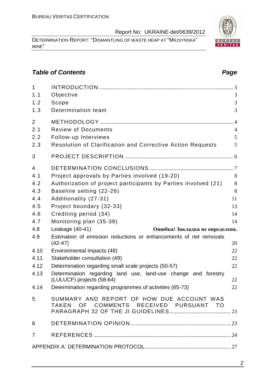DETERMINATION REPORT: "DISMANTLING OF WASTE HEAP AT "MIUSYNSKA" MINE"

# **Table of Contents Page 2018**

| $\mathbf{1}$   |                                                                                     |                |
|----------------|-------------------------------------------------------------------------------------|----------------|
| 1.1            | Objective                                                                           | 3              |
| 1.2            | Scope                                                                               | 3              |
| 1.3            | Determination team                                                                  | 3              |
| $\overline{2}$ |                                                                                     |                |
| 2.1            | <b>Review of Documents</b>                                                          | $\overline{4}$ |
| 2.2            | Follow-up Interviews                                                                | 5              |
| 2.3            | Resolution of Clarification and Corrective Action Requests                          | 5              |
| 3              |                                                                                     |                |
| $\overline{4}$ |                                                                                     |                |
| 4.1            | Project approvals by Parties involved (19-20)                                       | 8              |
| 4.2            | Authorization of project participants by Parties involved (21)                      | 8              |
| 4.3            | Baseline setting (22-26)                                                            | 8              |
| 4.4            | Additionality (27-31)                                                               | 11             |
| 4.5            | Project boundary (32-33)                                                            | 13             |
| 4.6            | Crediting period (34)                                                               | 14             |
| 4.7            | Monitoring plan (35-39)                                                             | 14             |
| 4.8            | Leakage (40-41)<br>Ошибка! Закладка не определена.                                  |                |
| 4.9            | Estimation of emission reductions or enhancements of net removals<br>$(42-47)$      | 20             |
| 4.10           | Environmental impacts (48)                                                          | 22             |
| 4.11           | Stakeholder consultation (49)                                                       | 22             |
| 4.12           | Determination regarding small scale projects (50-57)                                | 22             |
| 4.13           | Determination regarding land use, land-use change and forestry                      |                |
|                | (LULUCF) projects (58-64)                                                           | 22             |
|                | 4.14 Determination regarding programmes of activities (65-73)                       | 22             |
| 5              | SUMMARY AND REPORT OF HOW DUE ACCOUNT WAS<br>TAKEN OF COMMENTS RECEIVED PURSUANT TO |                |
| 6              |                                                                                     |                |
| $\overline{7}$ |                                                                                     |                |
|                |                                                                                     |                |

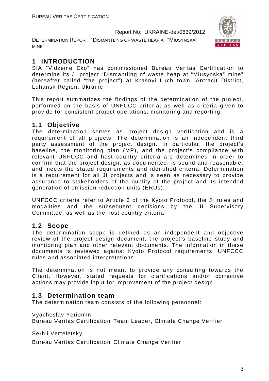DETERMINATION REPORT: "DISMANTLING OF WASTE HEAP AT "MIUSYNSKA" MINE"



# **1 INTRODUCTION**

SIA "Vidzeme Eko" has commissioned Bureau Veritas Certification to determine its JI project "Dismantling of waste heap at "Miusynska" mine" (hereafter called "the project") at Krasnyi Luch town, Antracit District, Luhansk Region, Ukraine.

This report summarizes the findings of the determination of the project, performed on the basis of UNFCCC criteria, as well as criteria given to provide for consistent project operations, monitoring and reporting.

# **1.1 Objective**

The determination serves as project design verification and is a requirement of all projects. The determination is an independent third party assessment of the project design. In particular, the project's baseline, the monitoring plan (MP), and the project's compliance with relevant UNFCCC and host country criteria are determined in order to confirm that the project design, as documented, is sound and reasonable, and meets the stated requirements and identified criteria. Determination is a requirement for all JI projects and is seen as necessary to provide assurance to stakeholders of the quality of the project and its intended generation of emission reduction units (ERUs).

UNFCCC criteria refer to Article 6 of the Kyoto Protocol, the JI rules and modalities and the subsequent decisions by the JI Supervisory Committee, as well as the host country criteria.

# **1.2 Scope**

The determination scope is defined as an independent and objective review of the project design document, the project's baseline study and monitoring plan and other relevant documents. The information in these documents is reviewed against Kyoto Protocol requirements, UNFCCC rules and associated interpretations.

The determination is not meant to provide any consulting towards the Client. However, stated requests for clarifications and/or corrective actions may provide input for improvement of the project design.

# **1.3 Determination team**

The determination team consists of the following personnel:

Vyacheslav Yeriomin

Bureau Veritas Certification Team Leader, Climate Change Verifier

Serhii Verteletskyi

Bureau Veritas Certification Climate Change Verifier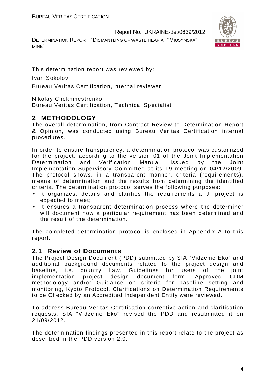DETERMINATION REPORT: "DISMANTLING OF WASTE HEAP AT "MIUSYNSKA" MINE"



This determination report was reviewed by:

Ivan Sokolov

Bureau Veritas Certification, Internal reviewer

Nikolay Chekhmestrenko

Bureau Veritas Certification, Technical Specialist

# **2 METHODOLOGY**

The overall determination, from Contract Review to Determination Report & Opinion, was conducted using Bureau Veritas Certification internal procedures.

In order to ensure transparency, a determination protocol was customized for the project, according to the version 01 of the Joint Implementation Determination and Verification Manual, issued by the Joint Implementation Supervisory Committee at its 19 meeting on 04/12/2009. The protocol shows, in a transparent manner, criteria (requirements), means of determination and the results from determining the identified criteria. The determination protocol serves the following purposes:

- It organizes, details and clarifies the requirements a JI project is expected to meet;
- It ensures a transparent determination process where the determiner will document how a particular requirement has been determined and the result of the determination.

The completed determination protocol is enclosed in Appendix A to this report.

# **2.1 Review of Documents**

The Project Design Document (PDD) submitted by SIA "Vidzeme Eko" and additional background documents related to the project design and baseline, i.e. country Law, Guidelines for users of the joint implementation project design document form, Approved CDM methodology and/or Guidance on criteria for baseline setting and monitoring, Kyoto Protocol, Clarifications on Determination Requirements to be Checked by an Accredited Independent Entity were reviewed.

To address Bureau Veritas Certification corrective action and clarification requests, SIA "Vidzeme Eko" revised the PDD and resubmitted it on 21/09/2012.

The determination findings presented in this report relate to the project as described in the PDD version 2.0.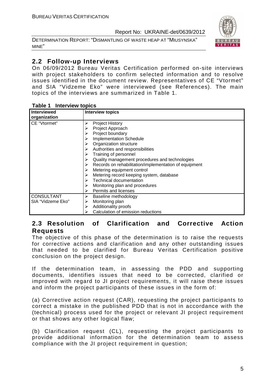DETERMINATION REPORT: "DISMANTLING OF WASTE HEAP AT "MIUSYNSKA" MINE"



# **2.2 Follow-up Interviews**

On 06/09/2012 Bureau Veritas Certification performed on-site interviews with project stakeholders to confirm selected information and to resolve issues identified in the document review. Representatives of CE "Vtormet" and SIA "Vidzeme Eko" were interviewed (see References). The main topics of the interviews are summarized in Table 1.

| Interviewed       | <b>Interview topics</b>                               |
|-------------------|-------------------------------------------------------|
| organization      |                                                       |
| CE "Vtormet"      | <b>Project History</b><br>➤                           |
|                   | Project Approach                                      |
|                   | Project boundary                                      |
|                   | <b>Implementation Schedule</b><br>⋗                   |
|                   | Organization structure                                |
|                   | Authorities and responsibilities                      |
|                   | Training of personnel                                 |
|                   | Quality management procedures and technologies        |
|                   | Records on rehabilitation/implementation of equipment |
|                   | Metering equipment control                            |
|                   | Metering record keeping system, database              |
|                   | <b>Technical documentation</b>                        |
|                   | Monitoring plan and procedures                        |
|                   | Permits and licenses                                  |
| <b>CONSULTANT</b> | Baseline methodology<br>➤                             |
| SIA "Vidzeme Eko" | Monitoring plan<br>➤                                  |
|                   | Additionality proofs                                  |
|                   | Calculation of emission reductions                    |

#### **Table 1 Interview topics**

# **2.3 Resolution of Clarification and Corrective Action Requests**

The objective of this phase of the determination is to raise the requests for corrective actions and clarification and any other outstanding issues that needed to be clarified for Bureau Veritas Certification positive conclusion on the project design.

If the determination team, in assessing the PDD and supporting documents, identifies issues that need to be corrected, clarified or improved with regard to JI project requirements, it will raise these issues and inform the project participants of these issues in the form of:

(a) Corrective action request (CAR), requesting the project participants to correct a mistake in the published PDD that is not in accordance with the (technical) process used for the project or relevant JI project requirement or that shows any other logical flaw;

(b) Clarification request (CL), requesting the project participants to provide additional information for the determination team to assess compliance with the JI project requirement in question;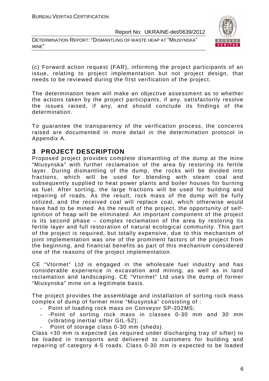DETERMINATION REPORT: "DISMANTLING OF WASTE HEAP AT "MIUSYNSKA" MINE"



(c) Forward action request (FAR), informing the project participants of an issue, relating to project implementation but not project design, that needs to be reviewed during the first verification of the project.

The determination team will make an objective assessment as to whether the actions taken by the project participants, if any, satisfactorily resolve the issues raised, if any, and should conclude its findings of the determination.

To guarantee the transparency of the verification process, the concerns raised are documented in more detail in the determination protocol in Appendix A.

# **3 PROJECT DESCRIPTION**

Proposed project provides complete dismantling of the dump at the mine "Miusynska" with further reclamation of the area by restoring its fertile layer. During dismantling of the dump, the rocks will be divided into fractions, which will be used for blending with steam coal and subsequently supplied to heat power plants and boiler houses for burning as fuel. After sorting, the large fractions will be used for building and repairing of roads. As the result, rock mass of the dump will be fully utilized, and the received coal will replace coal, which otherwise would have had to be mined. As the result of the project, the opportunity of selfignition of heap will be eliminated. An important component of the project is its second phase – complex reclamation of the area by restoring its fertile layer and full restoration of natural ecological community. This part of the project is required, but totally expensive, due to this mechanism of joint implementation was one of the prominent factors of the project from the beginning, and financial benefits as part of this mechanism considered one of the reasons of the project implementation.

CE "Vtormet" Ltd is engaged in the wholesale fuel industry and has considerable experience in excavation and mining, as well as in land reclamation and landscaping. CE "Vtormet" Ltd uses the dump of former "Miusynska" mine on a legitimate basis.

The project provides the assemblage and installation of sorting rock mass complex of dump of former mine "Miusynska" consisting of :

- Point of loading rock mass on Conveyor SP-202MS;
- -Point of sorting rock mass in classes 0-30 mm and 30 mm (vibrating inertial sifter GIL-52);
- Point of storage class 0-30 mm (sheds).

Class +30 mm is expected (as required under discharging tray of sifter) to be loaded in transports and delivered to customers for building and repairing of category 4-5 roads. Class 0-30 mm is expected to be loaded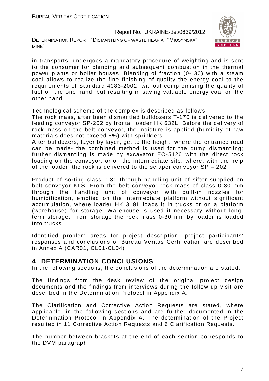DETERMINATION REPORT: "DISMANTLING OF WASTE HEAP AT "MIUSYNSKA" MINE"



in transports, undergoes a mandatory procedure of weighting and is sent to the consumer for blending and subsequent combustion in the thermal power plants or boiler houses. Blending of fraction (0- 30) with a steam coal allows to realize the fine finishing of quality the energy coal to the requirements of Standard 4083-2002, without compromising the quality of fuel on the one hand, but resulting in saving valuable energy coal on the other hand

Technological scheme of the complex is described as follows:

The rock mass, after been dismantled bulldozers T-170 is delivered to the feeding conveyor SP-202 by frontal loader HK 632L. Before the delivery of rock mass on the belt conveyor, the moisture is applied (humidity of raw materials does not exceed 8%) with sprinklers.

After bulldozers, layer by layer, get to the height, where the entrance road can be made- the combined method is used for the dump dismantling; further dismantling is made by excavator EO-5126 with the direct rock loading on the conveyor, or on the intermediate site, where, with the help of the loader, the rock is delivered to the scraper conveyor SP – 202

Product of sorting class 0-30 through handling unit of sifter supplied on belt conveyor KLS. From the belt conveyor rock mass of class 0-30 mm through the handling unit of conveyor with built-in nozzles for humidification, emptied on the intermediate platform without significant accumulation, where loader HK 319L loads it in trucks or on a platform (warehouse) for storage. Warehouse is used if necessary without longterm storage. From storage the rock mass 0-30 mm by loader is loaded into trucks

Identified problem areas for project description, project participants' responses and conclusions of Bureau Veritas Certification are described in Annex A (CAR01, CL01-CL04)

# **4 DETERMINATION CONCLUSIONS**

In the following sections, the conclusions of the determination are stated.

The findings from the desk review of the original project design documents and the findings from interviews during the follow up visit are described in the Determination Protocol in Appendix A.

The Clarification and Corrective Action Requests are stated, where applicable, in the following sections and are further documented in the Determination Protocol in Appendix A. The determination of the Project resulted in 11 Corrective Action Requests and 6 Clarification Requests.

The number between brackets at the end of each section corresponds to the DVM paragraph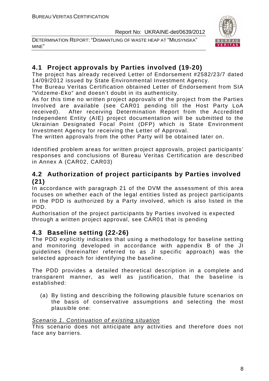DETERMINATION REPORT: "DISMANTLING OF WASTE HEAP AT "MIUSYNSKA" MINE"



# **4.1 Project approvals by Parties involved (19-20)**

The project has already received Letter of Endorsement #2582/23/7 dated 14/09/2012 issued by State Environmental Investment Agency.

The Bureau Veritas Certification obtained Letter of Endorsement from SIA "Vidzeme-Eko" and doesn't doubt in its authenticity.

As for this time no written project approvals of the project from the Parties Involved are available (see CAR01 pending till the Host Party LoA received). After receiving Determination Report from the Accredited Independent Entity (AIE) project documentation will be submitted to the Ukrainian Designated Focal Point (DFP) which is State Environment Investment Agency for receiving the Letter of Approval.

The written approvals from the other Party will be obtained later on.

Identified problem areas for written project approvals, project participants' responses and conclusions of Bureau Veritas Certification are described in Annex A (CAR02, CAR03)

# **4.2 Authorization of project participants by Parties involved (21)**

In accordance with paragraph 21 of the DVM the assessment of this area focuses on whether each of the legal entities listed as project participants in the PDD is authorized by a Party involved, which is also listed in the PDD.

Authorisation of the project participants by Parties involved is expected through a written project approval, see CAR01 that is pending

# **4.3 Baseline setting (22-26)**

The PDD explicitly indicates that using a methodology for baseline setting and monitoring developed in accordance with appendix B of the JI guidelines (hereinafter referred to as JI specific approach) was the selected approach for identifying the baseline.

The PDD provides a detailed theoretical description in a complete and transparent manner, as well as justification, that the baseline is established:

(a) By listing and describing the following plausible future scenarios on the basis of conservative assumptions and selecting the most plausible one:

#### Scenario 1. Continuation of existing situation

This scenario does not anticipate any activities and therefore does not face any barriers.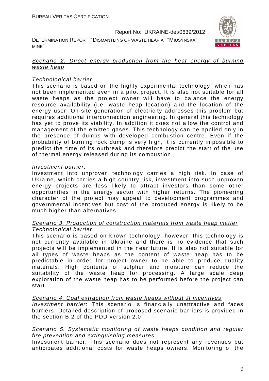DETERMINATION REPORT: "DISMANTLING OF WASTE HEAP AT "MIUSYNSKA" MINE"



#### Scenario 2. Direct energy production from the heat energy of burning waste heap

#### Technological barrier:

This scenario is based on the highly experimental technology, which has not been implemented even in a pilot project. It is also not suitable for all waste heaps as the project owner will have to balance the energy resource availability (i.e. waste heap location) and the location of the energy user. On-site generation of electricity addresses this problem but requires additional interconnection engineering. In general this technology has yet to prove its viability. In addition it does not allow the control and management of the emitted gases. This technology can be applied only in the presence of dumps with developed combustion centre. Even if the probability of burning rock dump is very high, it is currently impossible to predict the time of its outbreak and therefore predict the start of the use of thermal energy released during its combustion.

#### Investment barrier:

Investment into unproven technology carries a high risk. In case of Ukraine, which carries a high country risk, investment into such unproven energy projects are less likely to attract investors than some other opportunities in the energy sector with higher returns. The pioneering character of the project may appeal to development programmes and governmental incentives but cost of the produced energy is likely to be much higher than alternatives.

#### Scenario 3. Production of construction materials from waste heap matter Technological barrier:

This scenario is based on known technology, however, this technology is not currently available in Ukraine and there is no evidence that such projects will be implemented in the near future. It is also not suitable for all types of waste heaps as the content of waste heap has to be predictable in order for project owner to be able to produce quality materials. High contents of sulphur and moisture can reduce the suitability of the waste heap for processing. A large scale deep exploration of the waste heap has to be performed before the project can start.

Scenario 4. Coal extraction from waste heaps without JI incentives Investment barrier: This scenario is financially unattractive and faces

barriers. Detailed description of proposed scenario barriers is provided in the section B.2 of the PDD version 2.0.

#### Scenario 5. Systematic monitoring of waste heaps condition and regular fire prevention and extinguishing measures

Investment barrier: This scenario does not represent any revenues but anticipates additional costs for waste heaps owners. Monitoring of the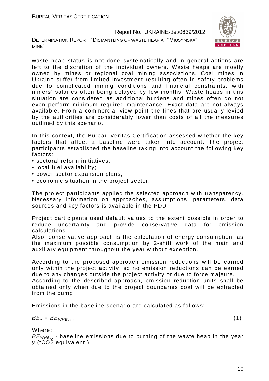DETERMINATION REPORT: "DISMANTLING OF WASTE HEAP AT "MIUSYNSKA" MINE"



waste heap status is not done systematically and in general actions are left to the discretion of the individual owners. Waste heaps are mostly owned by mines or regional coal mining associations. Coal mines in Ukraine suffer from limited investment resulting often in safety problems due to complicated mining conditions and financial constraints, with miners' salaries often being delayed by few months. Waste heaps in this situation are considered as additional burdens and mines often do not even perform minimum required maintenance. Exact data are not always available. From a commercial view point the fines that are usually levied by the authorities are considerably lower than costs of all the measures outlined by this scenario.

In this context, the Bureau Veritas Certification assessed whether the key factors that affect a baseline were taken into account. The project participants established the baseline taking into account the following key factors:

- sectoral reform initiatives;
- local fuel availability;
- power sector expansion plans;
- economic situation in the project sector.

The project participants applied the selected approach with transparency. Necessary information on approaches, assumptions, parameters, data sources and key factors is available in the PDD

Project participants used default values to the extent possible in order to reduce uncertainty and provide conservative data for emission calculations.

Also, conservative approach is the calculation of energy consumption, as the maximum possible consumption by 2-shift work of the main and auxiliary equipment throughout the year without exception.

According to the proposed approach emission reductions will be earned only within the project activity, so no emission reductions can be earned due to any changes outside the project activity or due to force majeure.

According to the described approach, emission reduction units shall be obtained only when due to the project boundaries coal will be extracted from the dump

Emissions in the baseline scenario are calculated as follows:

 $BE_v = BE_{WHB,v}$ , (1)

Where:

 $BE<sub>WHRV</sub>$  - baseline emissions due to burning of the waste heap in the year y (tCO2 equivalent ),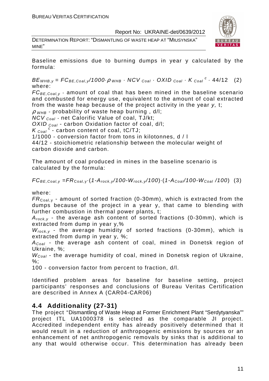DETERMINATION REPORT: "DISMANTLING OF WASTE HEAP AT "MIUSYNSKA" MINE"



Baseline emissions due to burning dumps in year y calculated by the formula:

 $BE_{WHB,y} = FC_{BE,Coal,y}$ /1000 $\rho_{WHB}$  · NCV  $_{Coal}$  · OXID  $_{Coal}$  · K  $_{Coal}$  <sup>c</sup> · 44/12 (2) where:

 $FC_{BE, coal,v}$  - amount of coal that has been mined in the baseline scenario and combusted for energy use, equivalent to the amount of coal extracted from the waste heap because of the project activity in the year y, t;

 $\rho$  w<sub>HB</sub> - probability of waste heap burning, d/l;

 $NCV_{Coal}$  - net Calorific Value of coal, TJ/kt;

OXID  $_{Coal}$  - carbon Oxidation factor of coal, d/l;

 $K_{\text{Coal}}^c$  - carbon content of coal, tC/TJ;

1/1000 - conversion factor from tons in kilotonnes, d / l

44/12 - stoichiometric relationship between the molecular weight of carbon dioxide and carbon.

The amount of coal produced in mines in the baseline scenario is calculated by the formula:

 $FC_{BE,Coal,v} = FR_{Coal,v} (1-A_{rock,v}/100-W_{rock,v}/100) (1-A_{Coal}/100-W_{Coal}/100)$  (3)

where:

 $FR_{\text{Coal,v}}$  - amount of sorted fraction (0-30mm), which is extracted from the dumps because of the project in a year y, that came to blending with further combustion in thermal power plants, t;

 $A_{rock, v}$  - the average ash content of sorted fractions (0-30mm), which is extracted from dump in year y,%

 $W_{rock, v}$  - the average humidity of sorted fractions (0-30mm), which is extracted from dump in year y, %;

 $A_{Coal}$  - the average ash content of coal, mined in Donetsk region of Ukraine, %;

 $W_{Coal}$  - the average humidity of coal, mined in Donetsk region of Ukraine, %;

100 - conversion factor from percent to fraction, d/l.

Identified problem areas for baseline for baseline setting, project participants' responses and conclusions of Bureau Veritas Certification are described in Annex A (CAR04-CAR06)

# **4.4 Additionality (27-31)**

The project "Dismantling of Waste Heap at Former Enrichment Plant "Serdytyanska"" project ITL UA1000378 is selected as the comparable JI project. Accredited independent entity has already positively determined that it would result in a reduction of anthropogenic emissions by sources or an enhancement of net anthropogenic removals by sinks that is additional to any that would otherwise occur. This determination has already been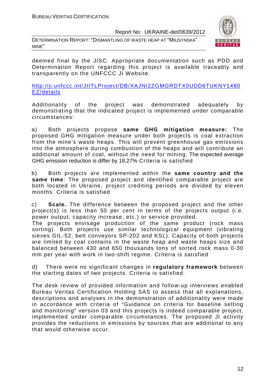DETERMINATION REPORT: "DISMANTLING OF WASTE HEAP AT "MIUSYNSKA" MINE"



deemed final by the JISC. Appropriate documentation such as PDD and Determination Report regarding this project is available traceably and transparently on the UNFCCC JI Website.

http://ji.unfccc.int/JIITLProject/DB/XAJNI2ZGMGRDTX0UDD6TUKNY1480 EZ/details

Additionality of the project was demonstrated adequately by demonstrating that the indicated project is implemented under comparable circumstances:

a) Both projects propose **same GHG mitigation measure:** The proposed GHG mitigation measure under both projects is coal extraction from the mine's waste heaps. This will prevent greenhouse gas emissions into the atmosphere during combustion of the heaps and will contribute an additional amount of coal, without the need for mining. The expected average GHG emission reduction is differ by 18.27% Criteria is satisfied

b) Both projects are implemented within the **same country and the same time**: The proposed project and identified comparable project are both located in Ukraine, project crediting periods are divided by eleven months. Criteria is satisfied

c) **Scale.** The difference between the proposed project and the other project(s) is less than 50 per cent in terms of the projects output (i.e. power output, capacity increase, etc.) or service provided.

The projects envisage production of the same product (rock mass sorting). Both projects use similar technological equipment (vibrating sieves GIL-52, belt conveyors SP-202 and KSL). Capacity of both projects are limited by coal contains in the waste heap and waste heaps size and balanced between 430 and 650 thousands tons of sorted rock mass 0-30 mm per year with work in two-shift regime. Criteria is satisfied

d) There were no significant changes in **regulatory framework** between the starting dates of two projects. Criteria is satisfied.

The desk review of provided information and follow-up interviews enabled Bureau Veritas Certification Holding SAS to assess that all explanations, descriptions and analyses in the demonstration of additionality were made in accordance with criteria of "Guidance on criteria for baseline setting and monitoring" version 03 and this projects is indeed comparable project, implemented under comparable circumstances. The proposed JI activity provides the reductions in emissions by sources that are additional to any that would otherwise occur.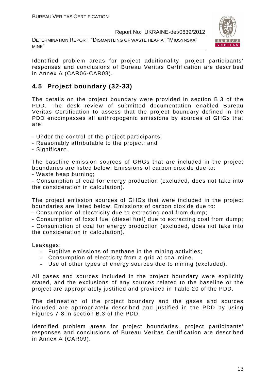DETERMINATION REPORT: "DISMANTLING OF WASTE HEAP AT "MIUSYNSKA" MINE"



Identified problem areas for project additionality, project participants' responses and conclusions of Bureau Veritas Certification are described in Annex A (CAR06-CAR08).

# **4.5 Project boundary (32-33)**

The details on the project boundary were provided in section B.3 of the PDD. The desk review of submitted documentation enabled Bureau Veritas Certification to assess that the project boundary defined in the PDD encompasses all anthropogenic emissions by sources of GHGs that are:

- Under the control of the project participants;
- Reasonably attributable to the project; and
- Significant.

The baseline emission sources of GHGs that are included in the project boundaries are listed below. Emissions of carbon dioxide due to:

- Waste heap burning;

- Consumption of coal for energy production (excluded, does not take into the consideration in calculation).

The project emission sources of GHGs that were included in the project boundaries are listed below. Emissions of carbon dioxide due to:

- Consumption of electricity due to extracting coal from dump;

- Consumption of fossil fuel (diesel fuel) due to extracting coal from dump;

- Consumption of coal for energy production (excluded, does not take into the consideration in calculation).

Leakages:

- Fugitive emissions of methane in the mining activities;
- Consumption of electricity from a grid at coal mine.
- Use of other types of energy sources due to mining (excluded).

All gases and sources included in the project boundary were explicitly stated, and the exclusions of any sources related to the baseline or the project are appropriately justified and provided in Table 20 of the PDD.

The delineation of the project boundary and the gases and sources included are appropriately described and justified in the PDD by using Figures 7-8 in section B.3 of the PDD.

Identified problem areas for project boundaries, project participants' responses and conclusions of Bureau Veritas Certification are described in Annex A (CAR09).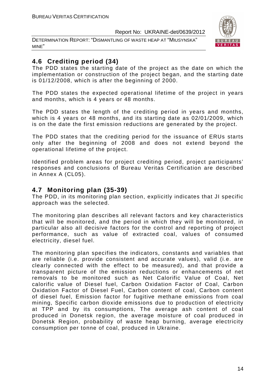DETERMINATION REPORT: "DISMANTLING OF WASTE HEAP AT "MIUSYNSKA" MINE"



# **4.6 Crediting period (34)**

The PDD states the starting date of the project as the date on which the implementation or construction of the project began, and the starting date is 01/12/2008, which is after the beginning of 2000.

The PDD states the expected operational lifetime of the project in years and months, which is 4 years or 48 months.

The PDD states the length of the crediting period in years and months, which is 4 years or 48 months, and its starting date as 02/01/2009, which is on the date the first emission reductions are generated by the project.

The PDD states that the crediting period for the issuance of ERUs starts only after the beginning of 2008 and does not extend beyond the operational lifetime of the project.

Identified problem areas for project crediting period, project participants' responses and conclusions of Bureau Veritas Certification are described in Annex A (CL05).

# **4.7 Monitoring plan (35-39)**

The PDD, in its monitoring plan section, explicitly indicates that JI specific approach was the selected.

The monitoring plan describes all relevant factors and key characteristics that will be monitored, and the period in which they will be monitored, in particular also all decisive factors for the control and reporting of project performance, such as value of extracted coal, values of consumed electricity, diesel fuel.

The monitoring plan specifies the indicators, constants and variables that are reliable (i.e. provide consistent and accurate values), valid (i.e. are clearly connected with the effect to be measured), and that provide a transparent picture of the emission reductions or enhancements of net removals to be monitored such as Net Calorific Value of Coal, Net calorific value of Diesel fuel, Carbon Oxidation Factor of Coal, Carbon Oxidation Factor of Diesel Fuel, Carbon content of coal, Carbon content of diesel fuel, Emission factor for fugitive methane emissions from coal mining, Specific carbon dioxide emissions due to production of electricity at TPP and by its consumptions, The average ash content of coal produced in Donetsk region, the average moisture of coal produced in Donetsk Region, probability of waste heap burning, average electricity consumption per tonne of coal, produced in Ukraine.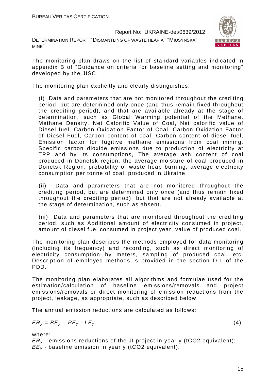DETERMINATION REPORT: "DISMANTLING OF WASTE HEAP AT "MIUSYNSKA" MINE"



The monitoring plan draws on the list of standard variables indicated in appendix B of "Guidance on criteria for baseline setting and monitoring" developed by the JISC.

The monitoring plan explicitly and clearly distinguishes:

(i) Data and parameters that are not monitored throughout the crediting period, but are determined only once (and thus remain fixed throughout the crediting period), and that are available already at the stage of determination, such as Global Warming potential of the Methane, Methane Density, Net Calorific Value of Coal, Net calorific value of Diesel fuel, Carbon Oxidation Factor of Coal, Carbon Oxidation Factor of Diesel Fuel, Carbon content of coal, Carbon content of diesel fuel, Emission factor for fugitive methane emissions from coal mining, Specific carbon dioxide emissions due to production of electricity at TPP and by its consumptions, The average ash content of coal produced in Donetsk region, the average moisture of coal produced in Donetsk Region, probability of waste heap burning, average electricity consumption per tonne of coal, produced in Ukraine

(ii) Data and parameters that are not monitored throughout the crediting period, but are determined only once (and thus remain fixed throughout the crediting period), but that are not already available at the stage of determination, such as absent.

(iii) Data and parameters that are monitored throughout the crediting period, such as Additional amount of electricity consumed in project, amount of diesel fuel consumed in project year, value of produced coal.

The monitoring plan describes the methods employed for data monitoring (including its frequency) and recording, such as direct monitoring of electricity consumption by meters, sampling of produced coal, etc. Description of employed methods is provided in the section D.1 of the PDD.

The monitoring plan elaborates all algorithms and formulae used for the estimation/calculation of baseline emissions/removals and project emissions/removals or direct monitoring of emission reductions from the project, leakage, as appropriate, such as described below

The annual emission reductions are calculated as follows:

$$
ER_y = BE_y - PE_y - LE_y, \tag{4}
$$

where:

 $ER<sub>v</sub>$  - emissions reductions of the JI project in year y (tCO2 equivalent);  $BE<sub>v</sub>$  - baseline emission in year y (tCO2 equivalent);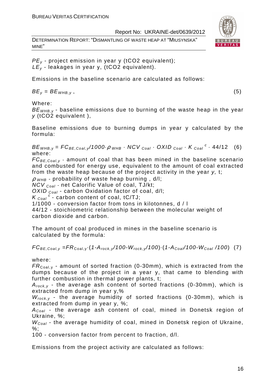DETERMINATION REPORT: "DISMANTLING OF WASTE HEAP AT "MIUSYNSKA" MINE"



 $PE<sub>v</sub>$  - project emission in year y (tCO2 equivalent);  $LE_v$  - leakages in year y, (tCO2 equivalent).

Emissions in the baseline scenario are calculated as follows:

 $BE_v = BE_{WHB,v}$ , (5)

Where:

 $BE<sub>WHB,V</sub>$  - baseline emissions due to burning of the waste heap in the year y (tCO2 equivalent ),

Baseline emissions due to burning dumps in year y calculated by the formula:

 $BE_{WHB,y} = FC_{BE,Coal,y}$ /1000 $\rho_{WHB}$  · NCV  $_{Coal}$  · OXID  $_{Coal}$  · K  $_{Coal}$  <sup>c</sup> · 44/12 (6) where:

 $FC_{BE,Coal, y}$  - amount of coal that has been mined in the baseline scenario and combusted for energy use, equivalent to the amount of coal extracted from the waste heap because of the project activity in the year y, t;

 $\rho$  <sub>WHB</sub> - probability of waste heap burning , d/l;

 $NCV_{Coal}$  - net Calorific Value of coal, TJ/kt;

OXID  $_{Coal}$  - carbon Oxidation factor of coal, d/l;

 $K_{\text{Coal}}^c$  - carbon content of coal, tC/TJ;

1/1000 - conversion factor from tons in kilotonnes, d / l

44/12 - stoichiometric relationship between the molecular weight of carbon dioxide and carbon.

The amount of coal produced in mines in the baseline scenario is calculated by the formula:

 $FC_{BE,Coal,y} = FR_{Coal,y} \cdot (1-A_{rock,y}/100-W_{rock,y}/100) \cdot (1-A_{Coal}/100-W_{Coal}/100)$  (7)

where:

 $FR_{\text{Coal,v}}$  - amount of sorted fraction (0-30mm), which is extracted from the dumps because of the project in a year y, that came to blending with further combustion in thermal power plants, t;

 $A_{rock, v}$  - the average ash content of sorted fractions (0-30mm), which is extracted from dump in year y,%

 $W_{rock, v}$  - the average humidity of sorted fractions (0-30mm), which is extracted from dump in year y, %;

 $A_{Coal}$  - the average ash content of coal, mined in Donetsk region of Ukraine, %;

 $W_{Coal}$  - the average humidity of coal, mined in Donetsk region of Ukraine,  $\%$ :

100 - conversion factor from percent to fraction, d/l.

Emissions from the project activity are calculated as follows: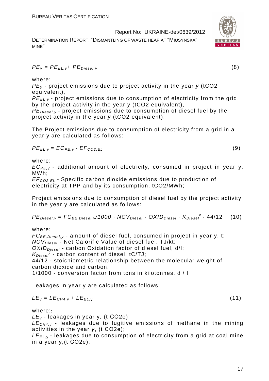DETERMINATION REPORT: "DISMANTLING OF WASTE HEAP AT "MIUSYNSKA" MINE"



$$
PE_{y} = PE_{EL,y} + PE_{Diesel,y}
$$
 (8)

where:

 $PE<sub>v</sub>$  - project emissions due to project activity in the year y (tCO2 equivalent),

PE*Е*L,y - project emissions due to consumption of electricity from the grid by the project activity in the year y (tCO2 equivalent),

 $PE_{\text{Diesel},v}$  - project emissions due to consumption of diesel fuel by the project activity in the year y (tCO2 equivalent).

The Project emissions due to consumption of electricity from a grid in a year y are calculated as follows:

$$
PE_{EL,y} = EC_{PE,y} \cdot EF_{CO2,EL}
$$
 (9)

where:

 $EC_{PE,v}$  - additional amount of electricity, consumed in project in year y, MWh;

EF<sup>C</sup>*О*2,EL - Specific carbon dioxide emissions due to production of electricity at TPP and by its consumption, tCO2/MWh;

Project emissions due to consumption of diesel fuel by the project activity in the year y are calculated as follows:

$$
PEDiesel,y = FCBE,Diesel,y/1000 \cdot NCVDiesel \cdot OXIDDiesel \cdot KDiesel \cdot 44/12
$$
 (10)

where:

 $FC_{BE, Diesel, y}$  - amount of diesel fuel, consumed in project in year y, t;  $NCV<sub>Diesel</sub>$  - Net Calorific Value of diesel fuel, TJ/kt;  $OXID<sub>Diesel</sub>$  - carbon Oxidation factor of diesel fuel, d/l;  $K_{Diesel}^c$  - carbon content of diesel, tC/TJ; 44/12 - stoichiometric relationship between the molecular weight of carbon dioxide and carbon. 1/1000 - conversion factor from tons in kilotonnes, d / l

Leakages in year y are calculated as follows:

$$
LE_y = LE_{CH4,y} + LE_{EL,y}
$$
 (11)

where::

 $LE_v$  - leakages in year y, (t CO2e);

 $LE<sub>CH4,V</sub>$  - leakages due to fugitive emissions of methane in the mining activities in the year y, (t СО2е);

 $LE_{FL, y}$  - leakages due to consumption of electricity from a grid at coal mine in a year y,(t СО2е);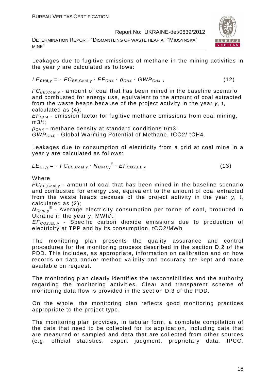DETERMINATION REPORT: "DISMANTLING OF WASTE HEAP AT "MIUSYNSKA" MINE"



Leakages due to fugitive emissions of methane in the mining activities in the year y are calculated as follows:

$$
LE_{\text{CH4},y} = -FC_{BE,Coal,y} \cdot EF_{CH4} \cdot \rho_{CH4} \cdot GWP_{CH4}, \qquad (12)
$$

 $FC_{BE, coal,v}$  - amount of coal that has been mined in the baseline scenario and combusted for energy use, equivalent to the amount of coal extracted from the waste heaps because of the project activity in the year y, t, calculated as (4);

 $EF<sub>CH4</sub>$  - emission factor for fugitive methane emissions from coal mining, m3/t;

 $\rho_{CH4}$  - methane density at standard conditions t/m3;

 $GWP<sub>CH4</sub>$  - Global Warming Potential of Methane, tCO2/ tCH4.

Leakages due to consumption of electricity from a grid at coal mine in a year y are calculated as follows:

$$
LE_{EL,y} = -FC_{BE,Coal,y} \cdot N_{Coal,y}^{E} \cdot EF_{CO2,EL,y}
$$
 (13)

#### Where

 $FC_{BE, coal,v}$  - amount of coal that has been mined in the baseline scenario and combusted for energy use, equivalent to the amount of coal extracted from the waste heaps because of the project activity in the year y, t, calculated as (2);

 $N_{Coal,y}$ <sup>E</sup> - Average electricity consumption per tonne of coal, produced in Ukraine in the year y, MWh/t;

EF<sup>C</sup>*О*2,EL, <sup>у</sup> - Specific carbon dioxide emissions due to production of electricity at TPP and by its consumption, tСО2/MWh

The monitoring plan presents the quality assurance and control procedures for the monitoring process described in the section D.2 of the PDD. This includes, as appropriate, information on calibration and on how records on data and/or method validity and accuracy are kept and made available on request.

The monitoring plan clearly identifies the responsibilities and the authority regarding the monitoring activities. Clear and transparent scheme of monitoring data flow is provided in the section D.3 of the PDD.

On the whole, the monitoring plan reflects good monitoring practices appropriate to the project type.

The monitoring plan provides, in tabular form, a complete compilation of the data that need to be collected for its application, including data that are measured or sampled and data that are collected from other sources (e.g. official statistics, expert judgment, proprietary data, IPCC,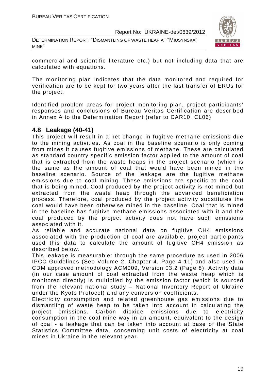DETERMINATION REPORT: "DISMANTLING OF WASTE HEAP AT "MIUSYNSKA" MINE"



commercial and scientific literature etc.) but not including data that are calculated with equations.

The monitoring plan indicates that the data monitored and required for verification are to be kept for two years after the last transfer of ERUs for the project.

Identified problem areas for project monitoring plan, project participants' responses and conclusions of Bureau Veritas Certification are described in Annex A to the Determination Report (refer to CAR10, CL06)

#### **4.8 Leakage (40-41)**

This project will result in a net change in fugitive methane emissions due to the mining activities. As coal in the baseline scenario is only coming from mines it causes fugitive emissions of methane. These are calculated as standard country specific emission factor applied to the amount of coal that is extracted from the waste heaps in the project scenario (which is the same as the amount of coal that would have been mined in the baseline scenario. Source of the leakage are the fugitive methane emissions due to coal mining. These emissions are specific to the coal that is being mined. Coal produced by the project activity is not mined but extracted from the waste heap through the advanced beneficiation process. Therefore, coal produced by the project activity substitutes the coal would have been otherwise mined in the baseline. Coal that is mined in the baseline has fugitive methane emissions associated with it and the coal produced by the project activity does not have such emissions associated with it.

As reliable and accurate national data on fugitive CH4 emissions associated with the production of coal are available, project participants used this data to calculate the amount of fugitive CH4 emission as described below.

This leakage is measurable: through the same procedure as used in 2006 IPCC Guidelines (See Volume 2, Chapter 4, Page 4-11) and also used in CDM approved methodology ACM009, Version 03.2 (Page 8). Activity data (in our case amount of coal extracted from the waste heap which is monitored directly) is multiplied by the emission factor (which is sourced from the relevant national study – National Inventory Report of Ukraine under the Kyoto Protocol) and any conversion coefficients.

Electricity consumption and related greenhouse gas emissions due to dismantling of waste heap to be taken into account in calculating the project emissions. Carbon dioxide emissions due to electricity consumption in the coal mine way in an amount, equivalent to the design of coal - a leakage that can be taken into account at base of the State Statistics Committee data, concerning unit costs of electricity at coal mines in Ukraine in the relevant year.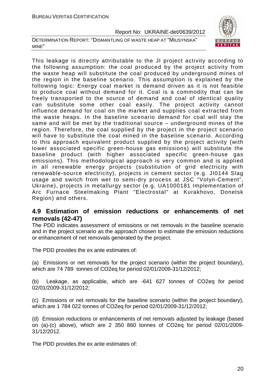DETERMINATION REPORT: "DISMANTLING OF WASTE HEAP AT "MIUSYNSKA" MINE"



This leakage is directly attributable to the JI project activity according to the following assumption: the coal produced by the project activity from the waste heap will substitute the coal produced by underground mines of the region in the baseline scenario. This assumption is explained by the following logic: Energy coal market is demand driven as it is not feasible to produce coal without demand for it. Coal is a commodity that can be freely transported to the source of demand and coal of identical quality can substitute some other coal easily. The project activity cannot influence demand for coal on the market and supplies coal extracted from the waste heaps. In the baseline scenario demand for coal will stay the same and will be met by the traditional source – underground mines of the region. Therefore, the coal supplied by the project in the project scenario will have to substitute the coal mined in the baseline scenario. According to this approach equivalent product supplied by the project activity (with lower associated specific green-house gas emissions) will substitute the baseline product (with higher associated specific green-house gas emissions). This methodological approach is very common and is applied in all renewable energy projects (substitution of grid electricity with renewable-source electricity), projects in cement sector (e.g. JI0144 Slag usage and switch from wet to semi-dry process at JSC "Volyn-Cement", Ukraine), projects in metallurgy sector (e.g. UA1000181 Implementation of Arc Furnace Steelmaking Plant "Electrostal" at Kurakhovo, Donetsk Region) and others.

# **4.9 Estimation of emission reductions or enhancements of net removals (42-47)**

The PDD indicates assessment of emissions or net removals in the baseline scenario and in the project scenario as the approach chosen to estimate the emission reductions or enhancement of net removals generated by the project.

The PDD provides the ex ante estimates of:

(a) Emissions or net removals for the project scenario (within the project boundary), which are 74 789 tonnes of CO2eq for period 02/01/2009-31/12/2012;

(b) Leakage, as applicable, which are -641 627 tonnes of CO2eq for period 02/01/2009-31/12/2012;

(c) Emissions or net removals for the baseline scenario (within the project boundary), which are 1 784 022 tonnes of CO2eq for period 02/01/2009-31/12/2012;

(d) Emission reductions or enhancements of net removals adjusted by leakage (based on (a)-(c) above), which are 2 350 860 tonnes of CO2eq for period 02/01/2009- 31/12/2012.

The PDD provides the ex ante estimates of: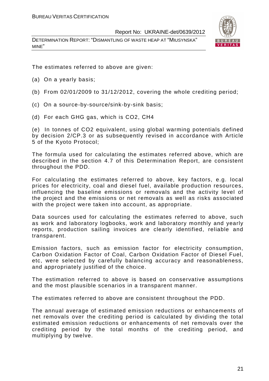DETERMINATION REPORT: "DISMANTLING OF WASTE HEAP AT "MIUSYNSKA" MINE"



The estimates referred to above are given:

- (a) On a yearly basis;
- (b) From 02/01/2009 to 31/12/2012, covering the whole crediting period;
- (c) On a source-by-source/sink-by-sink basis;
- (d) For each GHG gas, which is CO2, СН4

(e) In tonnes of CO2 equivalent, using global warming potentials defined by decision 2/CP.3 or as subsequently revised in accordance with Article 5 of the Kyoto Protocol;

The formula used for calculating the estimates referred above, which are described in the section 4.7 of this Determination Report, are consistent throughout the PDD.

For calculating the estimates referred to above, key factors, e.g. local prices for electricity, coal and diesel fuel, available production resources, influencing the baseline emissions or removals and the activity level of the project and the emissions or net removals as well as risks associated with the project were taken into account, as appropriate.

Data sources used for calculating the estimates referred to above, such as work and laboratory logbooks, work and laboratory monthly and yearly reports, production sailing invoices are clearly identified, reliable and transparent.

Emission factors, such as emission factor for electricity consumption, Carbon Oxidation Factor of Coal, Carbon Oxidation Factor of Diesel Fuel, etc, were selected by carefully balancing accuracy and reasonableness, and appropriately justified of the choice.

The estimation referred to above is based on conservative assumptions and the most plausible scenarios in a transparent manner.

The estimates referred to above are consistent throughout the PDD.

The annual average of estimated emission reductions or enhancements of net removals over the crediting period is calculated by dividing the total estimated emission reductions or enhancements of net removals over the crediting period by the total months of the crediting period, and multiplying by twelve.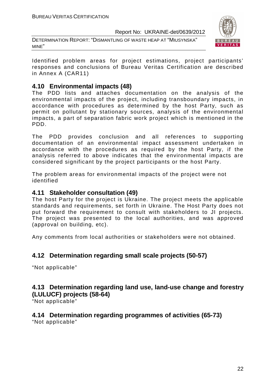DETERMINATION REPORT: "DISMANTLING OF WASTE HEAP AT "MIUSYNSKA" MINE"



Identified problem areas for project estimations, project participants' responses and conclusions of Bureau Veritas Certification are described in Annex A (CAR11)

# **4.10 Environmental impacts (48)**

The PDD lists and attaches documentation on the analysis of the environmental impacts of the project, including transboundary impacts, in accordance with procedures as determined by the host Party, such as permit on pollutant by stationary sources, analysis of the environmental impacts, a part of separation fabric work project which is mentioned in the PDD.

The PDD provides conclusion and all references to supporting documentation of an environmental impact assessment undertaken in accordance with the procedures as required by the host Party, if the analysis referred to above indicates that the environmental impacts are considered significant by the project participants or the host Party.

The problem areas for environmental impacts of the project were not identified

# **4.11 Stakeholder consultation (49)**

The host Party for the project is Ukraine. The project meets the applicable standards and requirements, set forth in Ukraine. The Host Party does not put forward the requirement to consult with stakeholders to JI projects. The project was presented to the local authorities, and was approved (approval on building, etc).

Any comments from local authorities or stakeholders were not obtained.

# **4.12 Determination regarding small scale projects (50-57)**

"Not applicable"

# **4.13 Determination regarding land use, land-use change and forestry (LULUCF) projects (58-64)**

"Not applicable"

# **4.14 Determination regarding programmes of activities (65-73)**

"Not applicable"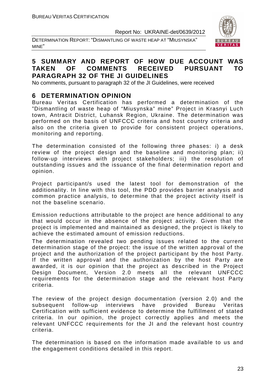DETERMINATION REPORT: "DISMANTLING OF WASTE HEAP AT "MIUSYNSKA" MINE"



# **5 SUMMARY AND REPORT OF HOW DUE ACCOUNT WAS TAKEN OF COMMENTS RECEIVED PURSUANT TO PARAGRAPH 32 OF THE JI GUIDELINES**

No comments, pursuant to paragraph 32 of the JI Guidelines, were received

# **6 DETERMINATION OPINION**

Bureau Veritas Certification has performed a determination of the "Dismantling of waste heap of "Miusynska" mine" Project in Krasnyi Luch town, Antracit District, Luhansk Region, Ukraine. The determination was performed on the basis of UNFCCC criteria and host country criteria and also on the criteria given to provide for consistent project operations, monitoring and reporting.

The determination consisted of the following three phases: i) a desk review of the project design and the baseline and monitoring plan; ii) follow-up interviews with project stakeholders; iii) the resolution of outstanding issues and the issuance of the final determination report and opinion.

Project participant/s used the latest tool for demonstration of the additionality. In line with this tool, the PDD provides barrier analysis and common practice analysis, to determine that the project activity itself is not the baseline scenario.

Emission reductions attributable to the project are hence additional to any that would occur in the absence of the project activity. Given that the project is implemented and maintained as designed, the project is likely to achieve the estimated amount of emission reductions.

The determination revealed two pending issues related to the current determination stage of the project: the issue of the written approval of the project and the authorization of the project participant by the host Party. If the written approval and the authorization by the host Party are awarded, it is our opinion that the project as described in the Project Design Document, Version 2.0 meets all the relevant UNFCCC requirements for the determination stage and the relevant host Party criteria.

The review of the project design documentation (version 2.0) and the subsequent follow-up interviews have provided Bureau Veritas Certification with sufficient evidence to determine the fulfillment of stated criteria. In our opinion, the project correctly applies and meets the relevant UNFCCC requirements for the JI and the relevant host country criteria.

The determination is based on the information made available to us and the engagement conditions detailed in this report.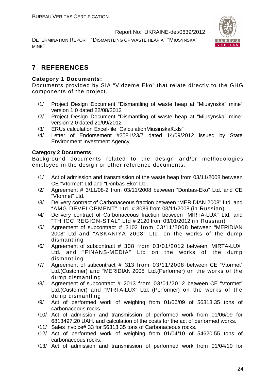DETERMINATION REPORT: "DISMANTLING OF WASTE HEAP AT "MIUSYNSKA" MINE"



# **7 REFERENCES**

#### **Category 1 Documents:**

Documents provided by SIA "Vidzeme Eko" that relate directly to the GHG components of the project.

- /1/ Project Design Document "Dismantling of waste heap at "Miusynska" mine" version 1.0 dated 22/08/2012
- /2/ Project Design Document "Dismantling of waste heap at "Miusynska" mine" version 2.0 dated 21/09/2012
- /3/ ERUs calculation Excel-file "CalculationMiusinskaК.xls"
- /4/ Letter of Endorsement #2581/23/7 dated 14/09/2012 issued by State Environment Investment Agency

#### **Category 2 Documents:**

Background documents related to the design and/or methodologies employed in the design or other reference documents.

- /1/ Act of admission and transmission of the waste heap from 03/11/2008 between CE "Vtormet" Ltd and "Donbas-Eko" Ltd.
- /2/ Agreement # 3/11/08-2 from 03/11/2008 between "Donbas-Eko" Ltd. and CE "Vtormet" Ltd.
- /3/ Delivery contract of Carbonaceous fraction between "MERIDIAN 2008" Ltd. and "AMG DEVELOPMENT" Ltd. # 3089 from 03/11/2008 (in Russian).
- /4/ Delivery contract of Carbonaceous fraction between "MIRTA-LUX" Ltd. and "TH ICC REGION-STAL" Ltd # 2120 from 03/01/2012 (in Russian).
- /5/ Agreement of subcontract # 3102 from 03/11/2008 between "MERIDIAN 2008" Ltd and "ASKANIYA 2008" Ltd. on the works of the dump dismantling
- /6/ Agreement of subcontract # 308 from 03/01/2012 between "MIRTA-LUX" Ltd. and "FINANS-MEDIA" Ltd on the works of the dump dismantling
- /7/ Agreement of subcontract # 313 from 03/11/2008 between CE "Vtormet" Ltd.(Customer) and "MERIDIAN 2008" Ltd.(Performer) on the works of the dump dismantling
- /8/ Agreement of subcontract # 2013 from 03/01/2012 between CE "Vtormet" Ltd.(Customer) and "MIRTA-LUX" Ltd. (Performer) on the works of the dump dismantling
- /9/ Act of performed work of weighing from 01/06/09 of 56313.35 tons of carbonaceous rocks
- /10/ Act of admission and transmission of performed work from 01/06/09 for 6813497.20 UAH. and calculation of the costs for the act of performed works.
- /11/ Sales invoice# 33 for 56313.35 tons of Carbonaceous rocks.
- /12/ Act of performed work of weighing from 01/04/10 of 54620.55 tons of carbonaceous rocks.
- /13/ Act of admission and transmission of performed work from 01/04/10 for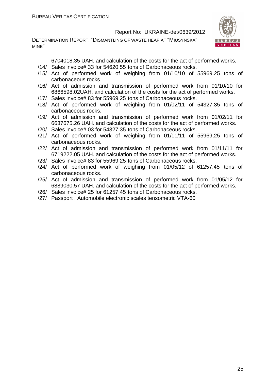DETERMINATION REPORT: "DISMANTLING OF WASTE HEAP AT "MIUSYNSKA" MINE"



6704018.35 UAH. and calculation of the costs for the act of performed works.

- /14/ Sales invoice# 33 for 54620.55 tons of Carbonaceous rocks.
- /15/ Act of performed work of weighing from 01/10/10 of 55969.25 tons of carbonaceous rocks
- /16/ Act of admission and transmission of performed work from 01/10/10 for 6866598.02UAH. and calculation of the costs for the act of performed works.
- /17/ Sales invoice# 83 for 55969.25 tons of Carbonaceous rocks.
- /18/ Act of performed work of weighing from 01/02/11 of 54327.35 tons of carbonaceous rocks.
- /19/ Act of admission and transmission of performed work from 01/02/11 for 6637675.26 UAH. and calculation of the costs for the act of performed works.
- /20/ Sales invoice# 03 for 54327.35 tons of Carbonaceous rocks.
- /21/ Act of performed work of weighing from 01/11/11 of 55969,25 tons of carbonaceous rocks.
- /22/ Act of admission and transmission of performed work from 01/11/11 for 6719222.05 UAH. and calculation of the costs for the act of performed works.
- /23/ Sales invoice# 83 for 55969.25 tons of Carbonaceous rocks.
- /24/ Act of performed work of weighing from 01/05/12 of 61257.45 tons of carbonaceous rocks.
- /25/ Act of admission and transmission of performed work from 01/05/12 for 6889030.57 UAH. and calculation of the costs for the act of performed works.
- /26/ Sales invoice# 25 for 61257.45 tons of Carbonaceous rocks.
- /27/ Passport . Automobile electronic scales tensometric VTA-60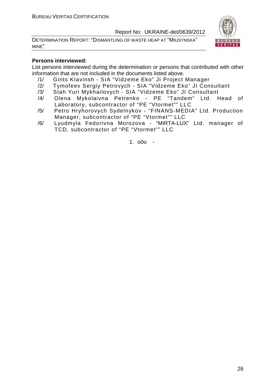DETERMINATION REPORT: "DISMANTLING OF WASTE HEAP AT "MIUSYNSKA" MINE"



#### **Persons interviewed:**

List persons interviewed during the determination or persons that contributed with other information that are not included in the documents listed above.

- /1/ Gints KIavinsh SIA "Vidzeme Eko" JI Project Manager
- /2/ Tymofeev Sergiy Petrovych SIA "Vidzeme Eko" JI Consultant
- /3/ Stah Yuri Mykhailovych SIA "Vidzeme Eko" JI Consultant
- /4/ Olena Mykolaivna Petrenko PE "Tandem" Ltd. Head of Laboratory, subcontractor of "PE "Vtormet"" LLC
- /5/ Petro Hryhorovych Sydelnykov "FINANS-MEDIA" Ltd. Production Manager, subcontractor of "PE "Vtormet"" LLC
- /6/ Lyudmyla Fedorivna Morozova "MIRTA-LUX" Ltd. manager of TCD, subcontractor of "PE "Vtormet"" LLC

1. o0o -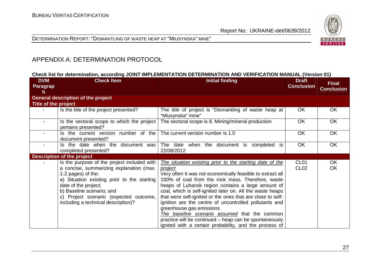

DETERMINATION REPORT: "DISMANTLING OF WASTE HEAP AT "MIUSYNSKA" MINE"

# APPENDIX A: DETERMINATION PROTOCOL

#### **Check list for determination, according JOINT IMPLEMENTATION DETERMINATION AND VERIFICATION MANUAL (Version 01)**

| <b>DVM</b><br><b>Paragrap</b><br>n | <b>Check Item</b>                                                                                                                                                                                                                                                                                  | <b>Initial finding</b>                                                                                                                                                                                                                                                                                                                                                                                                                                                                                                                                                                                                                    | <b>Draft</b><br><b>Conclusion</b>    | <b>Final</b><br><b>Conclusion</b> |
|------------------------------------|----------------------------------------------------------------------------------------------------------------------------------------------------------------------------------------------------------------------------------------------------------------------------------------------------|-------------------------------------------------------------------------------------------------------------------------------------------------------------------------------------------------------------------------------------------------------------------------------------------------------------------------------------------------------------------------------------------------------------------------------------------------------------------------------------------------------------------------------------------------------------------------------------------------------------------------------------------|--------------------------------------|-----------------------------------|
|                                    | <b>General description of the project</b>                                                                                                                                                                                                                                                          |                                                                                                                                                                                                                                                                                                                                                                                                                                                                                                                                                                                                                                           |                                      |                                   |
| Title of the project               |                                                                                                                                                                                                                                                                                                    |                                                                                                                                                                                                                                                                                                                                                                                                                                                                                                                                                                                                                                           |                                      |                                   |
|                                    | Is the title of the project presented?                                                                                                                                                                                                                                                             | The title of project is "Dismantling of waste heap at<br>"Miusynska" mine"                                                                                                                                                                                                                                                                                                                                                                                                                                                                                                                                                                | <b>OK</b>                            | OK                                |
|                                    | Is the sectoral scope to which the project<br>pertains presented?                                                                                                                                                                                                                                  | The sectoral scope is 8. Mining/mineral production                                                                                                                                                                                                                                                                                                                                                                                                                                                                                                                                                                                        | <b>OK</b>                            | <b>OK</b>                         |
|                                    | Is the current version number of the<br>document presented?                                                                                                                                                                                                                                        | The current version number is 1.0                                                                                                                                                                                                                                                                                                                                                                                                                                                                                                                                                                                                         | <b>OK</b>                            | <b>OK</b>                         |
|                                    | Is the date when the document was<br>completed presented?                                                                                                                                                                                                                                          | The date when the document is<br>completed is<br>22/08/2012                                                                                                                                                                                                                                                                                                                                                                                                                                                                                                                                                                               | <b>OK</b>                            | OK                                |
|                                    | <b>Description of the project</b>                                                                                                                                                                                                                                                                  |                                                                                                                                                                                                                                                                                                                                                                                                                                                                                                                                                                                                                                           |                                      |                                   |
|                                    | Is the purpose of the project included with<br>a concise, summarizing explanation (max.<br>1-2 pages) of the:<br>a) Situation existing prior to the starting<br>date of the project;<br>b) Baseline scenario; and<br>c) Project scenario (expected outcome,<br>including a technical description)? | The situation existing prior to the starting date of the<br><i>project</i><br>Very often it was not economically feasible to extract all<br>100% of coal from the rock mass. Therefore, waste<br>heaps of Luhansk region contains a large amount of<br>coal, which is self-ignited later on. All the waste heaps<br>that were self-ignited or the ones that are close to self-<br>ignition are the centre of uncontrolled pollutants and<br>greenhouse gas emissions<br>The baseline scenario assumed that the common<br>practice will be continued – heap can be spontaneously<br>ignited with a certain probability, and the process of | CL <sub>01</sub><br>CL <sub>02</sub> | OK<br>OK.                         |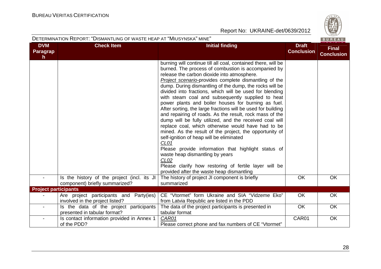

| DETERMINATION REPORT: "DISMANTLING OF WASTE HEAP AT "MIUSYNSKA" MINE" |
|-----------------------------------------------------------------------|
|-----------------------------------------------------------------------|

| <b>DVM</b>                      | <b>Check Item</b>                                                             | <b>Initial finding</b>                                                                                                                                                                                                                                                                                                                                                                                                                                                                                                                                                                                                                                                                                                                                                                                                                                                                                                                                                                                                                                    | <b>Draft</b>      | <b>Final</b>      |
|---------------------------------|-------------------------------------------------------------------------------|-----------------------------------------------------------------------------------------------------------------------------------------------------------------------------------------------------------------------------------------------------------------------------------------------------------------------------------------------------------------------------------------------------------------------------------------------------------------------------------------------------------------------------------------------------------------------------------------------------------------------------------------------------------------------------------------------------------------------------------------------------------------------------------------------------------------------------------------------------------------------------------------------------------------------------------------------------------------------------------------------------------------------------------------------------------|-------------------|-------------------|
| <b>Paragrap</b><br>$\mathsf{h}$ |                                                                               |                                                                                                                                                                                                                                                                                                                                                                                                                                                                                                                                                                                                                                                                                                                                                                                                                                                                                                                                                                                                                                                           | <b>Conclusion</b> | <b>Conclusion</b> |
|                                 |                                                                               | burning will continue till all coal, contained there, will be<br>burned. The process of combustion is accompanied by<br>release the carbon dioxide into atmosphere.<br>Project scenario-provides complete dismantling of the<br>dump. During dismantling of the dump, the rocks will be<br>divided into fractions, which will be used for blending<br>with steam coal and subsequently supplied to heat<br>power plants and boiler houses for burning as fuel.<br>After sorting, the large fractions will be used for building<br>and repairing of roads. As the result, rock mass of the<br>dump will be fully utilized, and the received coal will<br>replace coal, which otherwise would have had to be<br>mined. As the result of the project, the opportunity of<br>self-ignition of heap will be eliminated<br>CL <sub>01</sub><br>Please provide information that highlight status of<br>waste heap dismantling by years<br>CL <sub>02</sub><br>Please clarify how restoring of fertile layer will be<br>provided after the waste heap dismantling |                   |                   |
|                                 | Is the history of the project (incl. its JI<br>component) briefly summarized? | The history of project JI component is briefly<br>summarized                                                                                                                                                                                                                                                                                                                                                                                                                                                                                                                                                                                                                                                                                                                                                                                                                                                                                                                                                                                              | OK                | OK                |
| <b>Project participants</b>     |                                                                               |                                                                                                                                                                                                                                                                                                                                                                                                                                                                                                                                                                                                                                                                                                                                                                                                                                                                                                                                                                                                                                                           |                   |                   |
|                                 | Are project participants and Party(ies)<br>involved in the project listed?    | CE "Vtormet" form Ukraine and SIA "Vidzeme Eko"<br>from Latvia Republic are listed in the PDD                                                                                                                                                                                                                                                                                                                                                                                                                                                                                                                                                                                                                                                                                                                                                                                                                                                                                                                                                             | <b>OK</b>         | <b>OK</b>         |
| $\sim$                          | Is the data of the project participants<br>presented in tabular format?       | The data of the project participants is presented in<br>tabular format                                                                                                                                                                                                                                                                                                                                                                                                                                                                                                                                                                                                                                                                                                                                                                                                                                                                                                                                                                                    | OK                | OK                |
| $\blacksquare$                  | Is contact information provided in Annex 1<br>of the PDD?                     | CAR01<br>Please correct phone and fax numbers of CE "Vtormet"                                                                                                                                                                                                                                                                                                                                                                                                                                                                                                                                                                                                                                                                                                                                                                                                                                                                                                                                                                                             | CAR01             | OK                |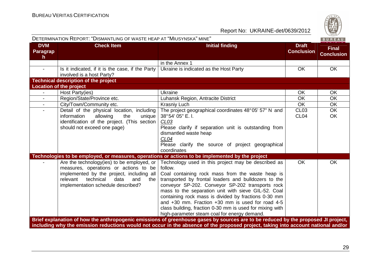| DETERMINATION REPORT: "DISMANTLING OF WASTE HEAP AT "MIUSYNSKA" MINE" |                                                                                                                                                                                                                    |                                                                                                                                                                                                                                                                                                                                                                                                                                                                                                                   |                                   |                                   |
|-----------------------------------------------------------------------|--------------------------------------------------------------------------------------------------------------------------------------------------------------------------------------------------------------------|-------------------------------------------------------------------------------------------------------------------------------------------------------------------------------------------------------------------------------------------------------------------------------------------------------------------------------------------------------------------------------------------------------------------------------------------------------------------------------------------------------------------|-----------------------------------|-----------------------------------|
| <b>DVM</b><br>Paragrap<br>h                                           | <b>Check Item</b>                                                                                                                                                                                                  | <b>Initial finding</b>                                                                                                                                                                                                                                                                                                                                                                                                                                                                                            | <b>Draft</b><br><b>Conclusion</b> | <b>Final</b><br><b>Conclusion</b> |
|                                                                       |                                                                                                                                                                                                                    | in the Annex 1                                                                                                                                                                                                                                                                                                                                                                                                                                                                                                    |                                   |                                   |
|                                                                       | Is it indicated, if it is the case, if the Party<br>involved is a host Party?                                                                                                                                      | Ukraine is indicated as the Host Party                                                                                                                                                                                                                                                                                                                                                                                                                                                                            | <b>OK</b>                         | <b>OK</b>                         |
|                                                                       | <b>Technical description of the project</b>                                                                                                                                                                        |                                                                                                                                                                                                                                                                                                                                                                                                                                                                                                                   |                                   |                                   |
|                                                                       | <b>Location of the project</b>                                                                                                                                                                                     |                                                                                                                                                                                                                                                                                                                                                                                                                                                                                                                   |                                   |                                   |
| $\blacksquare$                                                        | Host Party(ies)                                                                                                                                                                                                    | Ukraine                                                                                                                                                                                                                                                                                                                                                                                                                                                                                                           | <b>OK</b>                         | OK                                |
| $\blacksquare$                                                        | Region/State/Province etc.                                                                                                                                                                                         | Luhansk Region, Antracite District                                                                                                                                                                                                                                                                                                                                                                                                                                                                                | <b>OK</b>                         | OK                                |
| $\blacksquare$                                                        | City/Town/Community etc.                                                                                                                                                                                           | <b>Krasniy Luch</b>                                                                                                                                                                                                                                                                                                                                                                                                                                                                                               | <b>OK</b>                         | <b>OK</b>                         |
| $\mathbf{r}$                                                          | Detail of the physical location, including<br>information<br>allowing<br>the<br>unique<br>identification of the project. (This section<br>should not exceed one page)                                              | The project geographical coordinates 48°05' 57" N and<br>38°54' 05" E. I.<br>CLO3<br>Please clarify if separation unit is outstanding from<br>dismantled waste heap<br>CL04<br>Please clarify the source of project geographical<br>coordinates                                                                                                                                                                                                                                                                   | <b>CL03</b><br>CL <sub>04</sub>   | OK<br>OK                          |
|                                                                       |                                                                                                                                                                                                                    | Technologies to be employed, or measures, operations or actions to be implemented by the project                                                                                                                                                                                                                                                                                                                                                                                                                  |                                   |                                   |
|                                                                       | Are the technology(ies) to be employed, or<br>measures, operations or actions to be<br>implemented by the project, including all<br>relevant technical<br>data<br>and<br>the<br>implementation schedule described? | Technology used in this project may be described as<br>follow.<br>Coal containing rock mass from the waste heap is<br>transported by frontal loaders and bulldozers to the<br>conveyor SP-202. Conveyor SP-202 transports rock<br>mass to the separation unit with sieve GIL-52. Coal<br>containing rock mass is divided by fractions 0-30 mm<br>and $+30$ mm. Fraction $+30$ mm is used for road 4-5<br>class building, fraction 0-30 mm is used for mixing with<br>high-parameter steam coal for energy demand. | $\overline{OK}$                   | OK                                |
|                                                                       |                                                                                                                                                                                                                    | Brief explanation of how the anthropogenic emissions of greenhouse gases by sources are to be reduced by the proposed JI project,<br>including why the emission reductions would not occur in the absence of the proposed project, taking into account national and/or                                                                                                                                                                                                                                            |                                   |                                   |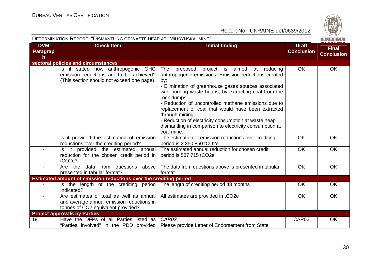

|                              | DETERMINATION REPORT: "DISMANTLING OF WASTE HEAP AT "MIUSYNSKA" MINE"                                                       |                                                                                                                                                                                                                                                                                                                                                                                                                                                                                                                     |                                   | BUREAU                            |
|------------------------------|-----------------------------------------------------------------------------------------------------------------------------|---------------------------------------------------------------------------------------------------------------------------------------------------------------------------------------------------------------------------------------------------------------------------------------------------------------------------------------------------------------------------------------------------------------------------------------------------------------------------------------------------------------------|-----------------------------------|-----------------------------------|
| <b>DVM</b><br>Paragrap<br>h. | <b>Check Item</b>                                                                                                           | <b>Initial finding</b>                                                                                                                                                                                                                                                                                                                                                                                                                                                                                              | <b>Draft</b><br><b>Conclusion</b> | <b>Final</b><br><b>Conclusion</b> |
|                              | sectoral policies and circumstances                                                                                         |                                                                                                                                                                                                                                                                                                                                                                                                                                                                                                                     |                                   |                                   |
|                              | Is it stated how anthropogenic GHG<br>emission reductions are to be achieved?<br>(This section should not exceed one page)  | The<br>proposed project<br>is aimed at<br>reducing<br>anthropogenic emissions. Emission reductions created<br>by:<br>- Elimination of greenhouse gases sources associated<br>with burning waste heaps, by extracting coal from the<br>rock dumps;<br>- Reduction of uncontrolled methane emissions due to<br>replacement of coal that would have been extracted<br>through mining;<br>- Reduction of electricity consumption at waste heap<br>dismantling in comparison to electricity consumption at<br>coal mine. | <b>OK</b>                         | <b>OK</b>                         |
|                              | Is it provided the estimation of emission<br>reductions over the crediting period?                                          | The estimation of emission reductions over crediting<br>period is 2 350 860 tCO2e                                                                                                                                                                                                                                                                                                                                                                                                                                   | OK                                | <b>OK</b>                         |
|                              | Is it provided the estimated annual<br>reduction for the chosen credit period in<br>tCO <sub>2e</sub> ?                     | The estimated annual reduction for chosen credit<br>period is 587 715 tCO2e                                                                                                                                                                                                                                                                                                                                                                                                                                         | <b>OK</b>                         | <b>OK</b>                         |
|                              | Are the data from questions<br>above<br>presented in tabular format?                                                        | The data from questions above is presented in tabular<br>format                                                                                                                                                                                                                                                                                                                                                                                                                                                     | <b>OK</b>                         | OK                                |
|                              | <b>Estimated amount of emission reductions over the crediting period</b>                                                    |                                                                                                                                                                                                                                                                                                                                                                                                                                                                                                                     |                                   |                                   |
|                              | Is the length of the crediting period<br>Indicated?                                                                         | The length of crediting period 48 months                                                                                                                                                                                                                                                                                                                                                                                                                                                                            | OK                                | <b>OK</b>                         |
|                              | Are estimates of total as well as annual<br>and average annual emission reductions in<br>tonnes of CO2 equivalent provided? | All estimates are provided in tCO2e                                                                                                                                                                                                                                                                                                                                                                                                                                                                                 | OK                                | <b>OK</b>                         |
|                              | <b>Project approvals by Parties</b>                                                                                         |                                                                                                                                                                                                                                                                                                                                                                                                                                                                                                                     |                                   |                                   |
| 19                           | Have the DFPs of all Parties listed as                                                                                      | CAR02<br>"Parties involved" in the PDD provided   Please provide Letter of Endorsement from State                                                                                                                                                                                                                                                                                                                                                                                                                   | CAR02                             | <b>OK</b>                         |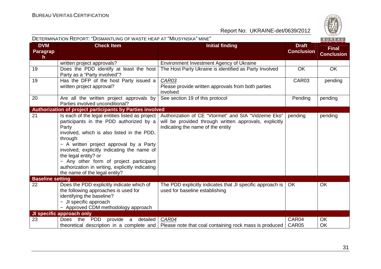

|                                               | DETERMINATION KEPORT. DISMANTLING OF WASTE HEAP AT IMIUSYNSKA IMINE                                                                                                                                                                                                                                                                                                                                            |                                                                                                                                                    |                                   | B U R E A U                       |
|-----------------------------------------------|----------------------------------------------------------------------------------------------------------------------------------------------------------------------------------------------------------------------------------------------------------------------------------------------------------------------------------------------------------------------------------------------------------------|----------------------------------------------------------------------------------------------------------------------------------------------------|-----------------------------------|-----------------------------------|
| <b>DVM</b><br><b>Paragrap</b><br>$\mathsf{h}$ | <b>Check Item</b>                                                                                                                                                                                                                                                                                                                                                                                              | <b>Initial finding</b>                                                                                                                             | <b>Draft</b><br><b>Conclusion</b> | <b>Final</b><br><b>Conclusion</b> |
|                                               | written project approvals?                                                                                                                                                                                                                                                                                                                                                                                     | Environment Investment Agency of Ukraine                                                                                                           |                                   |                                   |
| 19                                            | Does the PDD identify at least the host<br>Party as a "Party involved"?                                                                                                                                                                                                                                                                                                                                        | The Host Party Ukraine is identified as Party Involved                                                                                             | <b>OK</b>                         | <b>OK</b>                         |
| 19                                            | Has the DFP of the host Party issued a<br>written project approval?                                                                                                                                                                                                                                                                                                                                            | CAR03<br>Please provide written approvals from both parties<br>involved                                                                            | CAR03                             | pending                           |
| 20                                            | Are all the written project approvals by<br>Parties involved unconditional?                                                                                                                                                                                                                                                                                                                                    | See section 19 of this protocol                                                                                                                    | Pending                           | pending                           |
|                                               | Authorization of project participants by Parties involved                                                                                                                                                                                                                                                                                                                                                      |                                                                                                                                                    |                                   |                                   |
| 21                                            | Is each of the legal entities listed as project<br>participants in the PDD authorized by a<br>Party<br>involved, which is also listed in the PDD,<br>through:<br>- A written project approval by a Party<br>involved, explicitly indicating the name of<br>the legal entity? or<br>- Any other form of project participant<br>authorization in writing, explicitly indicating<br>the name of the legal entity? | Authorization of CE "Vtormet" and SIA "Vidzeme Eko"<br>will be provided through written approvals, explicitly<br>indicating the name of the entity | pending                           | pending                           |
| <b>Baseline setting</b>                       |                                                                                                                                                                                                                                                                                                                                                                                                                |                                                                                                                                                    |                                   |                                   |
| 22                                            | Does the PDD explicitly indicate which of<br>the following approaches is used for<br>identifying the baseline?<br>- JI specific approach<br>- Approved CDM methodology approach                                                                                                                                                                                                                                | The PDD explicitly indicates that JI specific approach is<br>used for baseline establishing                                                        | <b>OK</b>                         | OK                                |
|                                               | JI specific approach only                                                                                                                                                                                                                                                                                                                                                                                      |                                                                                                                                                    |                                   |                                   |
| 23                                            | <b>PDD</b><br><b>Does</b><br>the<br>provide<br>detailed<br>a a                                                                                                                                                                                                                                                                                                                                                 | CAR04<br>theoretical description in a complete and   Please note that coal containing rock mass is produced                                        | CAR04<br>CAR05                    | OK<br>OK                          |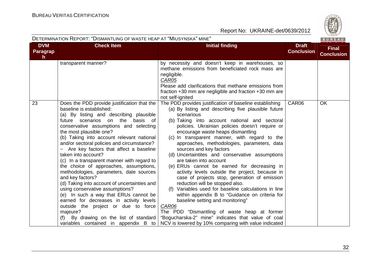**Par** 

DETERMINATION REPORT: "DISMANTLING OF WASTE HEAP AT "MIUSYNSKA" MINE"



Report No: UKRAINE-det/0639/2012

| <b>DVM</b>               | <b>Check Item</b>                                                                                                                                                                                                                                                                                                                                                                                                                                                                                                                                                                                                                                                                                                                                                                                                                                                      | <b>Initial finding</b>                                                                                                                                                                                                                                                                                                                                                                                                                                                                                                                                                                                                                                                                                                                                                                                                                                                                                                                                                                   | <b>Draft</b>      |
|--------------------------|------------------------------------------------------------------------------------------------------------------------------------------------------------------------------------------------------------------------------------------------------------------------------------------------------------------------------------------------------------------------------------------------------------------------------------------------------------------------------------------------------------------------------------------------------------------------------------------------------------------------------------------------------------------------------------------------------------------------------------------------------------------------------------------------------------------------------------------------------------------------|------------------------------------------------------------------------------------------------------------------------------------------------------------------------------------------------------------------------------------------------------------------------------------------------------------------------------------------------------------------------------------------------------------------------------------------------------------------------------------------------------------------------------------------------------------------------------------------------------------------------------------------------------------------------------------------------------------------------------------------------------------------------------------------------------------------------------------------------------------------------------------------------------------------------------------------------------------------------------------------|-------------------|
| Paragrap<br>$\mathsf{h}$ |                                                                                                                                                                                                                                                                                                                                                                                                                                                                                                                                                                                                                                                                                                                                                                                                                                                                        |                                                                                                                                                                                                                                                                                                                                                                                                                                                                                                                                                                                                                                                                                                                                                                                                                                                                                                                                                                                          | <b>Conclusion</b> |
|                          | transparent manner?                                                                                                                                                                                                                                                                                                                                                                                                                                                                                                                                                                                                                                                                                                                                                                                                                                                    | by necessity and doesn't keep in warehouses, so<br>methane emissions from beneficiated rock mass are<br>negligible.<br>CAR05<br>Please add clarifications that methane emissions from<br>fraction $+30$ mm are negligible and fraction $+30$ mm are<br>not self-ignited                                                                                                                                                                                                                                                                                                                                                                                                                                                                                                                                                                                                                                                                                                                  |                   |
| 23                       | Does the PDD provide justification that the<br>baseline is established:<br>(a) By listing and describing plausible<br>on the<br>basis<br>future<br>scenarios<br>of<br>conservative assumptions and selecting<br>the most plausible one?<br>(b) Taking into account relevant national<br>and/or sectoral policies and circumstance?<br>Are key factors that affect a baseline<br>taken into account?<br>(c) In a transparent manner with regard to<br>the choice of approaches, assumptions,<br>methodologies, parameters, date sources<br>and key factors?<br>(d) Taking into account of uncertainties and<br>using conservative assumptions?<br>(e) In such a way that ERUs cannot be<br>earned for decreases in activity levels<br>outside the project or due to force<br>majeure?<br>(f) By drawing on the list of standard<br>variables contained in appendix B to | The PDD provides justification of baseline establishing<br>(a) By listing and describing five plausible future<br>scenarious<br>(b) Taking into account national and sectoral<br>policies. Ukrainian policies doesn't require or<br>encourage waste heaps dismantling<br>(c) In transparent manner, with regard to the<br>approaches, methodologies, parameters, data<br>sources and key factors<br>(d) Uncertaintites and conservative assumptions<br>are taken into account<br>(e) ERUs cannot be earned for decreasing in<br>activity levels outside the project, because in<br>case of projects stop, generation of emission<br>reduction will be stopped also.<br>(f) Variables used for baseline calculations in line<br>within appendix B to "Guidance on criteria for<br>baseline setting and monitoring"<br>CAR06<br>The PDD "Dismantling of waste heap at former<br>"Bogucharska-2" mine" indicates that value of coal<br>NCV is lowered by 10% comparing with value indicated | CAR06             |

 $\overline{OK}$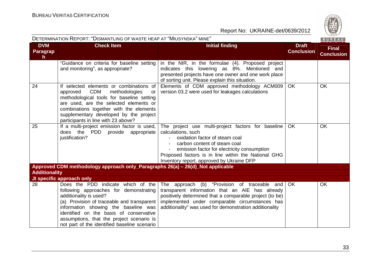|                                     | DETERMINATION REPORT: "DISMANTLING OF WASTE HEAP AT "MIUSYNSKA" MINE"                                                                                                                                                                                                                                                                |                                                                                                                                                                                                                                                                                               |                                   | BUREAU                            |
|-------------------------------------|--------------------------------------------------------------------------------------------------------------------------------------------------------------------------------------------------------------------------------------------------------------------------------------------------------------------------------------|-----------------------------------------------------------------------------------------------------------------------------------------------------------------------------------------------------------------------------------------------------------------------------------------------|-----------------------------------|-----------------------------------|
| <b>DVM</b><br><b>Paragrap</b><br>h. | <b>Check Item</b>                                                                                                                                                                                                                                                                                                                    | <b>Initial finding</b>                                                                                                                                                                                                                                                                        | <b>Draft</b><br><b>Conclusion</b> | <b>Final</b><br><b>Conclusion</b> |
|                                     | "Guidance on criteria for baseline setting<br>and monitoring", as appropriate?                                                                                                                                                                                                                                                       | in the NIR, in the formulae (4). Proposed project<br>indicates this lowering as 8%. Mentioned and<br>presented projects have one owner and one work place<br>of sorting unit. Please explain this situation.                                                                                  |                                   |                                   |
| 24                                  | If selected elements or combinations of<br><b>CDM</b><br>methodologies<br>approved<br>or<br>methodological tools for baseline setting<br>are used, are the selected elements or<br>combinations together with the elements<br>supplementary developed by the project<br>participants in line with 23 above?                          | Elements of CDM approved methodology ACM009<br>version 03.2 were used for leakages calculations                                                                                                                                                                                               | OK                                | <b>OK</b>                         |
| 25                                  | If a multi-project emission factor is used,<br>does the PDD provide appropriate<br>justification?                                                                                                                                                                                                                                    | The project use multi-project factors for baseline<br>calculations, such<br>oxidation factor of steam coal<br>carbon content of steam coal<br>emission factor for electricity consumption<br>Proposed factors is in line within the National GHG<br>Inventory report, approved by Ukraine DFP | <b>OK</b>                         | <b>OK</b>                         |
|                                     | Approved CDM methodology approach only_Paragraphs 26(a) - 26(d)_Not applicable                                                                                                                                                                                                                                                       |                                                                                                                                                                                                                                                                                               |                                   |                                   |
| <b>Additionality</b>                | JI specific approach only                                                                                                                                                                                                                                                                                                            |                                                                                                                                                                                                                                                                                               |                                   |                                   |
| 28                                  | Does the PDD indicate which of the<br>following approaches for demonstrating<br>additionality is used?<br>(a) Provision of traceable and transparent<br>information showing the baseline was<br>identified on the basis of conservative<br>assumptions, that the project scenario is<br>not part of the identified baseline scenario | The approach (b) "Provision of traceable and<br>transparent information that an AIE has already<br>positively determined that a comparable project (to be)<br>implemented under comparable circumstances has<br>additionality" was used for demonstration additionality                       | <b>OK</b>                         | <b>OK</b>                         |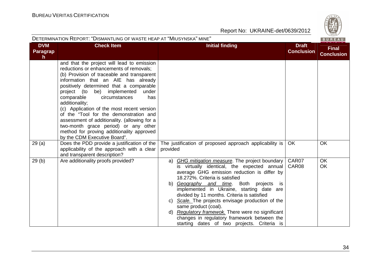|                                     | DETERMINATION REPORT: "DISMANTLING OF WASTE HEAP AT "MIUSYNSKA" MINE"<br>BUREAU                                                                                                                                                                                                                                                                                                                                                                                                                                                                                                    |                                                                                                                                                                                                                                                                                                                                                                                                                                                                                                                                                                             |                                   |                                   |  |
|-------------------------------------|------------------------------------------------------------------------------------------------------------------------------------------------------------------------------------------------------------------------------------------------------------------------------------------------------------------------------------------------------------------------------------------------------------------------------------------------------------------------------------------------------------------------------------------------------------------------------------|-----------------------------------------------------------------------------------------------------------------------------------------------------------------------------------------------------------------------------------------------------------------------------------------------------------------------------------------------------------------------------------------------------------------------------------------------------------------------------------------------------------------------------------------------------------------------------|-----------------------------------|-----------------------------------|--|
| <b>DVM</b><br><b>Paragrap</b><br>h. | <b>Check Item</b>                                                                                                                                                                                                                                                                                                                                                                                                                                                                                                                                                                  | <b>Initial finding</b>                                                                                                                                                                                                                                                                                                                                                                                                                                                                                                                                                      | <b>Draft</b><br><b>Conclusion</b> | <b>Final</b><br><b>Conclusion</b> |  |
|                                     | and that the project will lead to emission<br>reductions or enhancements of removals;<br>(b) Provision of traceable and transparent<br>information that an AIE has already<br>positively determined that a comparable<br>project (to be) implemented<br>under<br>comparable<br>circumstances<br>has<br>additionality;<br>(c) Application of the most recent version<br>of the "Tool for the demonstration and<br>assessment of additionality. (allowing for a<br>two-month grace period) or any other<br>method for proving additionality approved<br>by the CDM Executive Board". |                                                                                                                                                                                                                                                                                                                                                                                                                                                                                                                                                                             |                                   |                                   |  |
| 29(a)                               | Does the PDD provide a justification of the<br>applicability of the approach with a clear<br>and transparent description?                                                                                                                                                                                                                                                                                                                                                                                                                                                          | The justification of proposed approach applicability is<br>provided                                                                                                                                                                                                                                                                                                                                                                                                                                                                                                         | <b>OK</b>                         | <b>OK</b>                         |  |
| 29(b)                               | Are additionality proofs provided?                                                                                                                                                                                                                                                                                                                                                                                                                                                                                                                                                 | <b>GHG mitigation measure</b> . The project boundary<br>a)<br>is virtually identical, the expected annual<br>average GHG emission reduction is differ by<br>18.272%. Criteria is satisfied<br>b) Geography and time. Both projects<br><b>is</b><br>implemented in Ukraine, starting date are<br>divided by 11 months. Criteria is satisfied<br>c) Scale. The projects envisage production of the<br>same product (coal).<br>d) Regulatory framewok. There were no significant<br>changes in regulatory framework between the<br>starting dates of two projects. Criteria is | CAR07<br>CAR08                    | <b>OK</b><br>OK                   |  |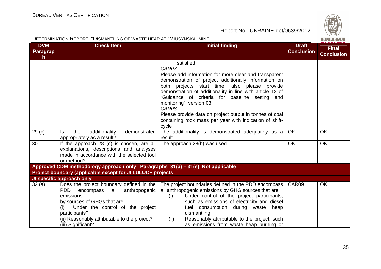|                                               | DETERMINATION REPORT: "DISMANTLING OF WASTE HEAP AT "MIUSYNSKA" MINE"                                                                                                                                                                                                                     |                                                                                                                                                                                                                                                                                                                                                                                                                                                                         |                                   | BUREAU                            |
|-----------------------------------------------|-------------------------------------------------------------------------------------------------------------------------------------------------------------------------------------------------------------------------------------------------------------------------------------------|-------------------------------------------------------------------------------------------------------------------------------------------------------------------------------------------------------------------------------------------------------------------------------------------------------------------------------------------------------------------------------------------------------------------------------------------------------------------------|-----------------------------------|-----------------------------------|
| <b>DVM</b><br><b>Paragrap</b><br>$\mathsf{h}$ | <b>Check Item</b>                                                                                                                                                                                                                                                                         | <b>Initial finding</b>                                                                                                                                                                                                                                                                                                                                                                                                                                                  | <b>Draft</b><br><b>Conclusion</b> | <b>Final</b><br><b>Conclusion</b> |
|                                               |                                                                                                                                                                                                                                                                                           | satisfied.<br>CAR07<br>Please add information for more clear and transparent<br>demonstration of project additionally information on<br>both projects start time, also please provide<br>demonstration of additionality in line with article 12 of<br>"Guidance of criteria for baseline setting and<br>monitoring", version 03<br>CAR08<br>Please provide data on project output in tonnes of coal<br>containing rock mass per year with indication of shift-<br>cycle |                                   |                                   |
| 29 (c)                                        | additionality<br>demonstrated<br>the<br>ls.<br>appropriately as a result?                                                                                                                                                                                                                 | The additionality is demonstrated adequately as a<br>result                                                                                                                                                                                                                                                                                                                                                                                                             | OK                                | <b>OK</b>                         |
| 30                                            | If the approach 28 (c) is chosen, are all<br>explanations, descriptions and analyses<br>made in accordance with the selected tool<br>or method?                                                                                                                                           | The approach 28(b) was used                                                                                                                                                                                                                                                                                                                                                                                                                                             | <b>OK</b>                         | <b>OK</b>                         |
|                                               | Approved CDM methodology approach only_ Paragraphs 31(a) – 31(e)_Not applicable                                                                                                                                                                                                           |                                                                                                                                                                                                                                                                                                                                                                                                                                                                         |                                   |                                   |
|                                               | Project boundary (applicable except for JI LULUCF projects                                                                                                                                                                                                                                |                                                                                                                                                                                                                                                                                                                                                                                                                                                                         |                                   |                                   |
| 32 (a)                                        | JI specific approach only<br>Does the project boundary defined in the<br>PDD<br>anthropogenic<br>encompass<br>all<br>emissions<br>by sources of GHGs that are:<br>Under the control of the project<br>participants?<br>(ii) Reasonably attributable to the project?<br>(iii) Significant? | The project boundaries defined in the PDD encompass<br>all anthropogenic emissions by GHG sources that are<br>Under control of the project participants,<br>(i)<br>such as emissions of electricity and diesel<br>fuel consumption during waste heap<br>dismantling<br>Reasonably attributable to the project, such<br>(ii)<br>as emissions from waste heap burning or                                                                                                  | CAR09                             | <b>OK</b>                         |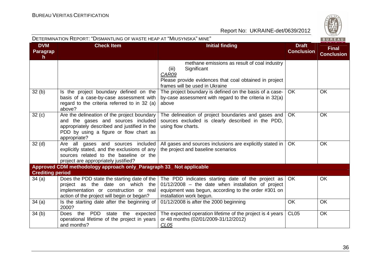$R \cup R$ 

|                               |                                                                                         |                                                                                               |                                   | $P_0$ $P_1$ $P_2$ $P_3$ |
|-------------------------------|-----------------------------------------------------------------------------------------|-----------------------------------------------------------------------------------------------|-----------------------------------|-------------------------|
| <b>DVM</b><br><b>Paragrap</b> | <b>Check Item</b>                                                                       | <b>Initial finding</b>                                                                        | <b>Draft</b><br><b>Conclusion</b> | <b>Final</b>            |
| h.                            |                                                                                         |                                                                                               |                                   | <b>Conclusion</b>       |
|                               |                                                                                         | methane emissions as result of coal industry                                                  |                                   |                         |
|                               |                                                                                         | Significant<br>(iii)                                                                          |                                   |                         |
|                               |                                                                                         | CAR09                                                                                         |                                   |                         |
|                               |                                                                                         | Please provide evidences that coal obtained in project                                        |                                   |                         |
|                               |                                                                                         | frames will be used in Ukraine                                                                |                                   |                         |
| 32(b)                         | Is the project boundary defined on the                                                  | The project boundary is defined on the basis of a case-                                       | <b>OK</b>                         | OK                      |
|                               | basis of a case-by-case assessment with<br>regard to the criteria referred to in 32 (a) | by-case assessment with regard to the criteria in 32(a)<br>above                              |                                   |                         |
|                               | above?                                                                                  |                                                                                               |                                   |                         |
| 32(c)                         | Are the delineation of the project boundary                                             | The delineation of project boundaries and gases and                                           | <b>OK</b>                         | <b>OK</b>               |
|                               | and the gases and sources included                                                      | sources excluded is clearly described in the PDD,                                             |                                   |                         |
|                               | appropriately described and justified in the                                            | using flow charts.                                                                            |                                   |                         |
|                               | PDD by using a figure or flow chart as                                                  |                                                                                               |                                   |                         |
|                               | appropriate?                                                                            |                                                                                               |                                   |                         |
| 32 <sub>(d)</sub>             | Are all gases and sources included                                                      | All gases and sources inclusions are explicitly stated in                                     | <b>OK</b>                         | OK                      |
|                               | explicitly stated, and the exclusions of any<br>sources related to the baseline or the  | the project and baseline scenarios                                                            |                                   |                         |
|                               | project are appropriately justified?                                                    |                                                                                               |                                   |                         |
|                               | Approved CDM methodology approach only_Paragraph 33_ Not applicable                     |                                                                                               |                                   |                         |
| <b>Crediting period</b>       |                                                                                         |                                                                                               |                                   |                         |
| 34(a)                         |                                                                                         | Does the PDD state the starting date of the The PDD indicates starting date of the project as | <b>OK</b>                         | <b>OK</b>               |
|                               | project as the date on which the                                                        | $01/12/2008$ – the date when installation of project                                          |                                   |                         |
|                               | implementation or construction or real                                                  | equipment was begun, according to the order #301 on                                           |                                   |                         |
|                               | action of the project will begin or began?                                              | installation work begun.                                                                      |                                   |                         |
| 34(a)                         | Is the starting date after the beginning of<br>2000?                                    | 01/12/2008 is after the 2000 beginning                                                        | OK                                | OK                      |
| 34(b)                         | PDD<br>Does the<br>state the expected                                                   | The expected operation lifetime of the project is 4 years                                     | <b>CL05</b>                       | OK                      |
|                               | operational lifetime of the project in years                                            | or 48 months (02/01/2009-31/12/2012)                                                          |                                   |                         |
|                               | and months?                                                                             | CL <sub>05</sub>                                                                              |                                   |                         |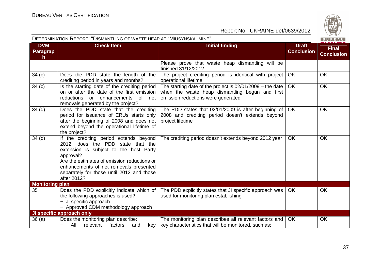

| DETERMINATION REPORT: "DISMANTLING OF WASTE HEAP AT "MIUSYNSKA" MINE"<br>BUREAU |                                                                                                                                                                                                                                                                                         |                                                                                                                                                      |                                   |                                   |
|---------------------------------------------------------------------------------|-----------------------------------------------------------------------------------------------------------------------------------------------------------------------------------------------------------------------------------------------------------------------------------------|------------------------------------------------------------------------------------------------------------------------------------------------------|-----------------------------------|-----------------------------------|
| <b>DVM</b><br>Paragrap<br>h                                                     | <b>Check Item</b>                                                                                                                                                                                                                                                                       | <b>Initial finding</b>                                                                                                                               | <b>Draft</b><br><b>Conclusion</b> | <b>Final</b><br><b>Conclusion</b> |
|                                                                                 |                                                                                                                                                                                                                                                                                         | Please prove that waste heap dismantling will be<br>finished 31/12/2012                                                                              |                                   |                                   |
| 34(c)                                                                           | Does the PDD state the length of the<br>crediting period in years and months?                                                                                                                                                                                                           | The project crediting period is identical with project<br>operational lifetime                                                                       | <b>OK</b>                         | <b>OK</b>                         |
| 34(c)                                                                           | Is the starting date of the crediting period<br>on or after the date of the first emission<br>reductions or enhancements<br>of net<br>removals generated by the project?                                                                                                                | The starting date of the project is $02/01/2009$ – the date<br>when the waste heap dismantling begun and first<br>emission reductions were generated | OK.                               | <b>OK</b>                         |
| 34(d)                                                                           | Does the PDD state that the crediting<br>period for issuance of ERUs starts only<br>after the beginning of 2008 and does not<br>extend beyond the operational lifetime of<br>the project?                                                                                               | The PDD states that 02/01/2009 is after beginning of<br>2008 and crediting period doesn't extends beyond<br>project lifetime                         | <b>OK</b>                         | <b>OK</b>                         |
| 34(d)                                                                           | If the crediting period extends beyond<br>2012, does the PDD state that the<br>extension is subject to the host Party<br>approval?<br>Are the estimates of emission reductions or<br>enhancements of net removals presented<br>separately for those until 2012 and those<br>after 2012? | The crediting period doesn't extends beyond 2012 year                                                                                                | <b>OK</b>                         | <b>OK</b>                         |
| <b>Monitoring plan</b>                                                          |                                                                                                                                                                                                                                                                                         |                                                                                                                                                      |                                   |                                   |
| 35                                                                              | Does the PDD explicitly indicate which of<br>the following approaches is used?<br>- JI specific approach<br>- Approved CDM methodology approach                                                                                                                                         | The PDD explicitly states that JI specific approach was  <br>used for monitoring plan establishing                                                   | OK.                               | <b>OK</b>                         |
|                                                                                 | JI specific approach only                                                                                                                                                                                                                                                               |                                                                                                                                                      |                                   |                                   |
| 36(a)                                                                           | Does the monitoring plan describe:<br>All<br>factors<br>relevant<br>and<br>-                                                                                                                                                                                                            | The monitoring plan describes all relevant factors and<br>key   key characteristics that will be monitored, such as:                                 | OK.                               | OK                                |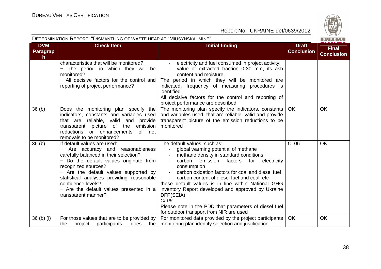

| <b>DVM</b><br>Paragrap<br>$\mathsf{h}$ | <b>Check Item</b>                                                                                                                                                                                                                                                                                                                                         | <b>Initial finding</b>                                                                                                                                                                                                                                                                                                                                                                                                                                                                                                                                                                                                                | <b>Draft</b><br><b>Conclusion</b> | <b>Final</b><br><b>Conclusion</b> |
|----------------------------------------|-----------------------------------------------------------------------------------------------------------------------------------------------------------------------------------------------------------------------------------------------------------------------------------------------------------------------------------------------------------|---------------------------------------------------------------------------------------------------------------------------------------------------------------------------------------------------------------------------------------------------------------------------------------------------------------------------------------------------------------------------------------------------------------------------------------------------------------------------------------------------------------------------------------------------------------------------------------------------------------------------------------|-----------------------------------|-----------------------------------|
|                                        | characteristics that will be monitored?<br>The period in which they will be<br>monitored?<br>- All decisive factors for the control and<br>reporting of project performance?                                                                                                                                                                              | electricity and fuel consumed in project activity;<br>$\overline{\phantom{a}}$<br>value of extracted fraction 0-30 mm, its ash<br>content and moisture.<br>The period in which they will be monitored are<br>indicated, frequency of measuring procedures is<br>identified<br>All decisive factors for the control and reporting of<br>project performance are described                                                                                                                                                                                                                                                              |                                   |                                   |
| 36 (b)                                 | Does the monitoring plan specify the<br>indicators, constants and variables used<br>that are reliable, valid and provide<br>transparent picture of the emission<br>reductions or enhancements<br>of net<br>removals to be monitored?                                                                                                                      | The monitoring plan specify the indicators, constants<br>and variables used, that are reliable, valid and provide<br>transparent picture of the emission reductions to be<br>monitored                                                                                                                                                                                                                                                                                                                                                                                                                                                | <b>OK</b>                         | <b>OK</b>                         |
| 36 (b)                                 | If default values are used:<br>- Are accuracy and reasonableness<br>carefully balanced in their selection?<br>- Do the default values originate from<br>recognized sources?<br>- Are the default values supported by<br>statistical analyses providing reasonable<br>confidence levels?<br>- Are the default values presented in a<br>transparent manner? | The default values, such as:<br>global warming potential of methane<br>$\blacksquare$<br>methane density in standard conditions<br>$\overline{\phantom{a}}$<br>carbon<br>emission<br>factors<br>for<br>electricity<br>$\overline{\phantom{a}}$<br>consumption<br>carbon oxidation factors for coal and diesel fuel<br>$\blacksquare$<br>carbon content of diesel fuel and coal, etc<br>these default values is in line within National GHG<br>inventory Report developed and approved by Ukraine<br>DFP(SEIA)<br>CL <sub>06</sub><br>Please note in the PDD that parameters of diesel fuel<br>for outdoor transport from NIR are used | CL <sub>06</sub>                  | <b>OK</b>                         |
| 36 (b) (i)                             | For those values that are to be provided by $ $<br>participants,<br>project<br>does<br>the                                                                                                                                                                                                                                                                | For monitored data provided by the project participants<br>the   monitoring plan identify selection and justification                                                                                                                                                                                                                                                                                                                                                                                                                                                                                                                 | <b>OK</b>                         | <b>OK</b>                         |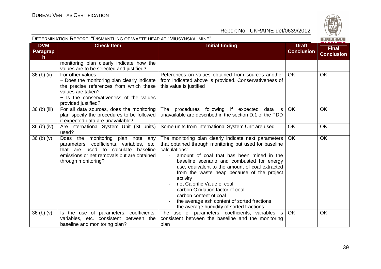| DETERMINATION REPORT: "DISMANTLING OF WASTE HEAP AT "MIUSYNSKA" MINE"<br>BUREAU |                                                                                                                                                                                                    |                                                                                                                                                                                                                                                                                                                                                                                                                                                                                                                                |                                   |                                   |
|---------------------------------------------------------------------------------|----------------------------------------------------------------------------------------------------------------------------------------------------------------------------------------------------|--------------------------------------------------------------------------------------------------------------------------------------------------------------------------------------------------------------------------------------------------------------------------------------------------------------------------------------------------------------------------------------------------------------------------------------------------------------------------------------------------------------------------------|-----------------------------------|-----------------------------------|
| <b>DVM</b><br>Paragrap<br>h.                                                    | <b>Check Item</b>                                                                                                                                                                                  | <b>Initial finding</b>                                                                                                                                                                                                                                                                                                                                                                                                                                                                                                         | <b>Draft</b><br><b>Conclusion</b> | <b>Final</b><br><b>Conclusion</b> |
|                                                                                 | monitoring plan clearly indicate how the<br>values are to be selected and justified?                                                                                                               |                                                                                                                                                                                                                                                                                                                                                                                                                                                                                                                                |                                   |                                   |
| 36 (b) (ii)                                                                     | For other values,<br>- Does the monitoring plan clearly indicate<br>the precise references from which these<br>values are taken?<br>- Is the conservativeness of the values<br>provided justified? | References on values obtained from sources another<br>from indicated above is provided. Conservativeness of<br>this value is justified                                                                                                                                                                                                                                                                                                                                                                                         | <b>OK</b>                         | <b>OK</b>                         |
| 36 (b) (iii)                                                                    | For all data sources, does the monitoring<br>plan specify the procedures to be followed<br>if expected data are unavailable?                                                                       | The procedures following if expected<br>data<br>is<br>unavailable are described in the section D.1 of the PDD                                                                                                                                                                                                                                                                                                                                                                                                                  | OK                                | <b>OK</b>                         |
| $36$ (b) (iv)                                                                   | Are International System Unit (SI units)<br>used?                                                                                                                                                  | Some units from International System Unit are used                                                                                                                                                                                                                                                                                                                                                                                                                                                                             | <b>OK</b>                         | <b>OK</b>                         |
| 36 <sub>(b)</sub> <sub>(v)</sub>                                                | Does the monitoring plan note<br>any<br>parameters, coefficients, variables, etc.<br>to calculate baseline<br>that are used<br>emissions or net removals but are obtained<br>through monitoring?   | The monitoring plan clearly indicate next parameters<br>that obtained through monitoring but used for baseline<br>calculations:<br>amount of coal that has been mined in the<br>baseline scenario and combusted for energy<br>use, equivalent to the amount of coal extracted<br>from the waste heap because of the project<br>activity<br>net Calorific Value of coal<br>carbon Oxidation factor of coal<br>carbon content of coal<br>the average ash content of sorted fractions<br>the average humidity of sorted fractions | <b>OK</b>                         | <b>OK</b>                         |
| 36(b)(v)                                                                        | Is the use of parameters, coefficients,<br>variables, etc. consistent between the                                                                                                                  | The use of parameters, coefficients, variables is<br>consistent between the baseline and the monitoring                                                                                                                                                                                                                                                                                                                                                                                                                        | OK                                | <b>OK</b>                         |
|                                                                                 | baseline and monitoring plan?                                                                                                                                                                      | plan                                                                                                                                                                                                                                                                                                                                                                                                                                                                                                                           |                                   |                                   |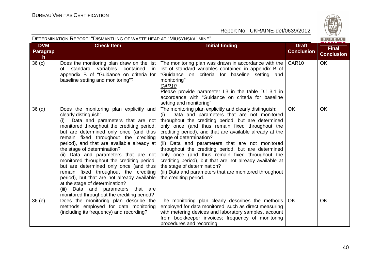

| DETERMINATION REPORT: "DISMANTLING OF WASTE HEAP AT "MIUSYNSKA" MINE" |  |
|-----------------------------------------------------------------------|--|
|                                                                       |  |

| <b>DVM</b>            | <b>Check Item</b>                                                                                                                                                                                                                                                                                                                                                                                                                                                                                                                                                                                                                                                          | <b>Initial finding</b>                                                                                                                                                                                                                                                                                                                                                                                                                                                                                                                                                                                                                                    | <b>Draft</b>      | <b>Final</b>      |
|-----------------------|----------------------------------------------------------------------------------------------------------------------------------------------------------------------------------------------------------------------------------------------------------------------------------------------------------------------------------------------------------------------------------------------------------------------------------------------------------------------------------------------------------------------------------------------------------------------------------------------------------------------------------------------------------------------------|-----------------------------------------------------------------------------------------------------------------------------------------------------------------------------------------------------------------------------------------------------------------------------------------------------------------------------------------------------------------------------------------------------------------------------------------------------------------------------------------------------------------------------------------------------------------------------------------------------------------------------------------------------------|-------------------|-------------------|
| <b>Paragrap</b><br>h. |                                                                                                                                                                                                                                                                                                                                                                                                                                                                                                                                                                                                                                                                            |                                                                                                                                                                                                                                                                                                                                                                                                                                                                                                                                                                                                                                                           | <b>Conclusion</b> | <b>Conclusion</b> |
| 36 <sub>(c)</sub>     | Does the monitoring plan draw on the list<br>standard<br>variables<br>contained<br>of<br>in<br>appendix B of "Guidance on criteria for<br>baseline setting and monitoring"?                                                                                                                                                                                                                                                                                                                                                                                                                                                                                                | The monitoring plan was drawn in accordance with the $\vert$ CAR10<br>list of standard variables contained in appendix B of<br>"Guidance on criteria for baseline setting and<br>monitoring"<br>CAR <sub>10</sub><br>Please provide parameter L3 in the table D.1.3.1 in<br>accordance with "Guidance on criteria for baseline<br>setting and monitoring"                                                                                                                                                                                                                                                                                                 |                   | OK                |
| 36 <sub>(d)</sub>     | Does the monitoring plan explicitly and<br>clearly distinguish:<br>Data and parameters that are not<br>(i)<br>monitored throughout the crediting period,<br>but are determined only once (and thus<br>remain fixed throughout the crediting<br>period), and that are available already at<br>the stage of determination?<br>(ii) Data and parameters that are not<br>monitored throughout the crediting period,<br>but are determined only once (and thus<br>remain fixed throughout the crediting<br>period), but that are not already available<br>at the stage of determination?<br>Data and parameters that are<br>(iii)<br>monitored throughout the crediting period? | The monitoring plan explicitly and clearly distinguish:<br>Data and parameters that are not monitored<br>(i)<br>throughout the crediting period, but are determined<br>only once (and thus remain fixed throughout the<br>crediting period), and that are available already at the<br>stage of determination?<br>(ii) Data and parameters that are not monitored<br>throughout the crediting period, but are determined<br>only once (and thus remain fixed throughout the<br>crediting period), but that are not already available at<br>the stage of determination?<br>(iii) Data and parameters that are monitored throughout<br>the crediting period. | OK                | <b>OK</b>         |
| 36(e)                 | Does the monitoring plan describe the<br>methods employed for data monitoring<br>(including its frequency) and recording?                                                                                                                                                                                                                                                                                                                                                                                                                                                                                                                                                  | The monitoring plan clearly describes the methods<br>employed for data monitored, such as direct measuring<br>with metering devices and laboratory samples, account<br>from bookkeeper invoices; frequency of monitoring<br>procedures and recording                                                                                                                                                                                                                                                                                                                                                                                                      | <b>OK</b>         | <b>OK</b>         |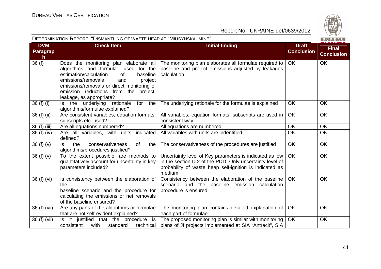|                              | DETERMINATION REPORT: "DISMANTLING OF WASTE HEAP AT "MIUSYNSKA" MINE"                                                                                                                                                                       |                                                                                                                                                                                          |                                   | BUREAU                            |
|------------------------------|---------------------------------------------------------------------------------------------------------------------------------------------------------------------------------------------------------------------------------------------|------------------------------------------------------------------------------------------------------------------------------------------------------------------------------------------|-----------------------------------|-----------------------------------|
| <b>DVM</b><br>Paragrap<br>h. | <b>Check Item</b>                                                                                                                                                                                                                           | <b>Initial finding</b>                                                                                                                                                                   | <b>Draft</b><br><b>Conclusion</b> | <b>Final</b><br><b>Conclusion</b> |
| 36(f)                        | algorithms and formulae used for the<br>estimation/calculation<br>baseline<br>0f<br>emissions/removals<br>and<br>project<br>emissions/removals or direct monitoring of<br>emission reductions from the project,<br>leakage, as appropriate? | Does the monitoring plan elaborate all   The monitoring plan elaborates all formulae required to<br>baseline and project emissions adjusted by leakages<br>calculation                   | OK                                | <b>OK</b>                         |
| 36 (f) (i)                   | Is the underlying<br>rationale<br>for the<br>algorithms/formulae explained?                                                                                                                                                                 | The underlying rationale for the formulae is explained                                                                                                                                   | <b>OK</b>                         | OK                                |
| 36 (f) (ii)                  | Are consistent variables, equation formats,<br>subscripts etc. used?                                                                                                                                                                        | All variables, equation formats, subscripts are used in<br>consistent way                                                                                                                | OK                                | OK                                |
| 36 (f) (iii)                 | Are all equations numbered?                                                                                                                                                                                                                 | All equations are numbered                                                                                                                                                               | <b>OK</b>                         | OK                                |
| 36 (f) (iv)                  | Are all variables, with units indicated<br>defined?                                                                                                                                                                                         | All variables with units are indentified                                                                                                                                                 | <b>OK</b>                         | OK                                |
| 36 $(f)(v)$                  | ls.<br>conservativeness<br>of<br>the<br>the<br>algorithms/procedures justified?                                                                                                                                                             | The conservativeness of the procedures are justified                                                                                                                                     | <b>OK</b>                         | <b>OK</b>                         |
| 36 $(f)(v)$                  | To the extent possible, are methods to<br>quantitatively account for uncertainty in key<br>parameters included?                                                                                                                             | Uncertainty level of Key parameters is indicated as low<br>in the section D.2 of the PDD. Only uncertainty level of<br>probability of waste heap self-ignition is indicated as<br>medium | OK                                | <b>OK</b>                         |
| 36 (f) (vi)                  | Is consistency between the elaboration of<br>the<br>baseline scenario and the procedure for<br>calculating the emissions or net removals<br>of the baseline ensured?                                                                        | Consistency between the elaboration of the baseline<br>scenario and the baseline emission calculation<br>procedure is ensured                                                            | OK                                | OK                                |
| 36 (f) (vii)                 | Are any parts of the algorithms or formulae<br>that are not self-evident explained?                                                                                                                                                         | The monitoring plan contains detailed explanation of<br>each part of formulae                                                                                                            | <b>OK</b>                         | <b>OK</b>                         |
| 36 (f) (vii)                 | Is it justified that the procedure is<br>consistent<br>with<br>standard<br>technical                                                                                                                                                        | The proposed monitoring plan is similar with monitoring<br>plans of JI projects implemented at SIA "Antracit", SIA                                                                       | <b>OK</b>                         | OK                                |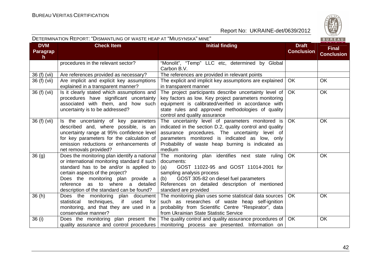| DETERMINATION REPORT: "DISMANTLING OF WASTE HEAP AT "MIUSYNSKA" MINE" |                                                                                                                                                                                                                                                                                                   |                                                                                                                                                                                                                                                                                  | BUREAU                            |                                   |
|-----------------------------------------------------------------------|---------------------------------------------------------------------------------------------------------------------------------------------------------------------------------------------------------------------------------------------------------------------------------------------------|----------------------------------------------------------------------------------------------------------------------------------------------------------------------------------------------------------------------------------------------------------------------------------|-----------------------------------|-----------------------------------|
| <b>DVM</b><br><b>Paragrap</b><br>$\mathsf{h}$                         | <b>Check Item</b>                                                                                                                                                                                                                                                                                 | <b>Initial finding</b>                                                                                                                                                                                                                                                           | <b>Draft</b><br><b>Conclusion</b> | <b>Final</b><br><b>Conclusion</b> |
|                                                                       | procedures in the relevant sector?                                                                                                                                                                                                                                                                | "Monolit", "Temp" LLC etc, determined by Global<br>Carbon B.V.                                                                                                                                                                                                                   |                                   |                                   |
| 36 (f) (vii)                                                          | Are references provided as necessary?                                                                                                                                                                                                                                                             | The references are provided in relevant points                                                                                                                                                                                                                                   |                                   |                                   |
| 36 (f) (vii)                                                          | Are implicit and explicit key assumptions<br>explained in a transparent manner?                                                                                                                                                                                                                   | The explicit and implicit key assumptions are explained<br>in transparent manner                                                                                                                                                                                                 | <b>OK</b>                         | <b>OK</b>                         |
| 36 (f) (vii)                                                          | Is it clearly stated which assumptions and<br>procedures have significant uncertainty<br>associated with them, and how such<br>uncertainty is to be addressed?                                                                                                                                    | The project participants describe uncertainty level of<br>key factors as low. Key project parameters monitoring<br>equipment is calibrated/verified in accordance with<br>state rules and approved methodologies of quality<br>control and quality assurance                     | <b>OK</b>                         | <b>OK</b>                         |
| 36 (f) (vii)                                                          | Is the uncertainty of key parameters<br>described and, where possible, is an<br>uncertainty range at 95% confidence level<br>for key parameters for the calculation of<br>emission reductions or enhancements of<br>net removals provided?                                                        | The uncertainty level of parameters monitored is<br>indicated in the section D.2, quality control and quality<br>assurance procedures. The uncertainty level of<br>parameters monitored is indicated as low, only<br>Probability of waste heap burning is indicated as<br>medium | <b>OK</b>                         | <b>OK</b>                         |
| 36(9)                                                                 | Does the monitoring plan identify a national<br>or international monitoring standard if such<br>standard has to be and/or is applied to<br>certain aspects of the project?<br>Does the monitoring plan provide a<br>reference as to where a detailed<br>description of the standard can be found? | The monitoring plan identifies next state ruling<br>documents:<br>GOST 11022-95 and GOST 11014-2001 for<br>(a)<br>sampling analysis process<br>(b) GOST 305-82 on diesel fuel parameters<br>References on detailed description of mentioned<br>standard are provided             | <b>OK</b>                         | <b>OK</b>                         |
| 36(h)                                                                 | Does the monitoring plan document<br>techniques,<br>if i<br>used<br>statistical<br>for<br>monitoring, and that they are used in a<br>conservative manner?                                                                                                                                         | The monitoring plan uses some statistical data sources<br>such as researches of waste heap self-ignition<br>probability from Scientific Centre "Respirator", data<br>from Ukrainian State Statistic Service                                                                      | OK                                | <b>OK</b>                         |
| 36 (i)                                                                |                                                                                                                                                                                                                                                                                                   | Does the monitoring plan present the The quality control and quality assurance procedures of<br>quality assurance and control procedures   monitoring process are presented. Information on                                                                                      | <b>OK</b>                         | <b>OK</b>                         |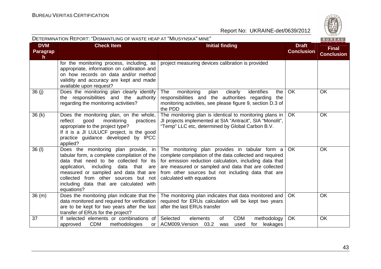| DETERMINATION REPORT: "DISMANTLING OF WASTE HEAP AT "MIUSYNSKA" MINE" |                                                                                                                                                                                                                                                                                                                 |                                                                                                                                                                                                                                                                                                                | BUREAU                            |                                   |
|-----------------------------------------------------------------------|-----------------------------------------------------------------------------------------------------------------------------------------------------------------------------------------------------------------------------------------------------------------------------------------------------------------|----------------------------------------------------------------------------------------------------------------------------------------------------------------------------------------------------------------------------------------------------------------------------------------------------------------|-----------------------------------|-----------------------------------|
| <b>DVM</b><br><b>Paragrap</b><br>$\mathsf{h}$                         | <b>Check Item</b>                                                                                                                                                                                                                                                                                               | <b>Initial finding</b>                                                                                                                                                                                                                                                                                         | <b>Draft</b><br><b>Conclusion</b> | <b>Final</b><br><b>Conclusion</b> |
|                                                                       | for the monitoring process, including, as<br>appropriate, information on calibration and<br>on how records on data and/or method<br>validity and accuracy are kept and made<br>available upon request?                                                                                                          | project measuring devices calibration is provided                                                                                                                                                                                                                                                              |                                   |                                   |
| 36(i)                                                                 | Does the monitoring plan clearly identify<br>the responsibilities and the authority<br>regarding the monitoring activities?                                                                                                                                                                                     | identifies<br>The<br>monitoring<br>plan<br>clearly<br>the<br>responsibilities and the authorities regarding<br>the<br>monitoring activities, see please figure 9, section D.3 of<br>the PDD                                                                                                                    | <b>OK</b>                         | <b>OK</b>                         |
| 36(k)                                                                 | Does the monitoring plan, on the whole,<br>reflect<br>good<br>monitoring<br>practices<br>appropriate to the project type?<br>If it is a JI LULUCF project, is the good<br>practice guidance developed by IPCC<br>applied?                                                                                       | The monitoring plan is identical to monitoring plans in<br>JI projects implemented at SIA "Antracit", SIA "Monolit",<br>"Temp" LLC etc, determined by Global Carbon B.V.                                                                                                                                       | OK.                               | <b>OK</b>                         |
| 36(1)                                                                 | Does the monitoring plan provide, in<br>tabular form, a complete compilation of the<br>data that need to be collected for its<br>application, including data that are<br>measured or sampled and data that are<br>collected from other sources but not<br>including data that are calculated with<br>equations? | The monitoring plan provides in tabular form a<br>complete compilation of the data collected and required<br>for emission reduction calculation, including data that<br>are measured or sampled and data that are collected<br>from other sources but not including data that are<br>calculated with equations | OK                                | <b>OK</b>                         |
| 36(m)                                                                 | Does the monitoring plan indicate that the<br>data monitored and required for verification<br>are to be kept for two years after the last<br>transfer of ERUs for the project?                                                                                                                                  | The monitoring plan indicates that data monitored and<br>required for ERUs calculation will be kept two years<br>after the last ERUs transfer                                                                                                                                                                  | <b>OK</b>                         | <b>OK</b>                         |
| 37                                                                    | If selected elements or combinations of<br><b>CDM</b><br>methodologies<br>approved<br>or I                                                                                                                                                                                                                      | <b>CDM</b><br>Selected<br>elements<br>0f<br>methodology<br>ACM009, Version 03.2<br>leakages<br>used<br>was<br>for                                                                                                                                                                                              | OK                                | <b>OK</b>                         |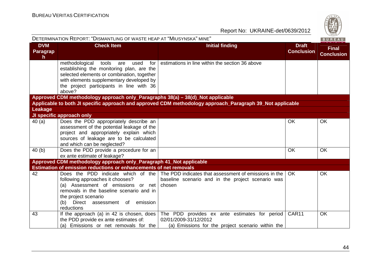

| DETERMINATION REPORT: "DISMANTLING OF WASTE HEAP AT "MIUSYNSKA" MINE"<br>BUREAU |                                                                                                                                                                                                                                            |                                                                                                                             |                                   |                                   |
|---------------------------------------------------------------------------------|--------------------------------------------------------------------------------------------------------------------------------------------------------------------------------------------------------------------------------------------|-----------------------------------------------------------------------------------------------------------------------------|-----------------------------------|-----------------------------------|
| <b>DVM</b><br><b>Paragrap</b><br>h.                                             | <b>Check Item</b>                                                                                                                                                                                                                          | <b>Initial finding</b>                                                                                                      | <b>Draft</b><br><b>Conclusion</b> | <b>Final</b><br><b>Conclusion</b> |
|                                                                                 | methodological<br>tools<br>used<br>for<br>are<br>establishing the monitoring plan, are the<br>selected elements or combination, together<br>with elements supplementary developed by<br>the project participants in line with 36<br>above? | estimations in line within the section 36 above                                                                             |                                   |                                   |
|                                                                                 | Approved CDM methodology approach only_Paragraphs 38(a) - 38(d)_Not applicable                                                                                                                                                             |                                                                                                                             |                                   |                                   |
|                                                                                 |                                                                                                                                                                                                                                            | Applicable to both JI specific approach and approved CDM methodology approach_Paragraph 39_Not applicable                   |                                   |                                   |
| Leakage                                                                         |                                                                                                                                                                                                                                            |                                                                                                                             |                                   |                                   |
|                                                                                 | JI specific approach only                                                                                                                                                                                                                  |                                                                                                                             |                                   |                                   |
| 40(a)                                                                           | Does the PDD appropriately describe an<br>assessment of the potential leakage of the<br>project and appropriately explain which<br>sources of leakage are to be calculated<br>and which can be neglected?                                  |                                                                                                                             | OK                                | <b>OK</b>                         |
| 40(b)                                                                           | Does the PDD provide a procedure for an<br>ex ante estimate of leakage?                                                                                                                                                                    |                                                                                                                             | OK                                | <b>OK</b>                         |
|                                                                                 | Approved CDM methodology approach only_Paragraph 41_Not applicable                                                                                                                                                                         |                                                                                                                             |                                   |                                   |
|                                                                                 | <b>Estimation of emission reductions or enhancements of net removals</b>                                                                                                                                                                   |                                                                                                                             |                                   |                                   |
| 42                                                                              | Does the PDD indicate which of the<br>following approaches it chooses?<br>(a) Assessment of emissions or net<br>removals in the baseline scenario and in<br>the project scenario<br>Direct assessment of emission<br>(b)<br>reductions     | The PDD indicates that assessment of emissions in the<br>baseline scenario and in the project scenario was<br>chosen        | <b>OK</b>                         | OK                                |
| 43                                                                              | If the approach (a) in 42 is chosen, does<br>the PDD provide ex ante estimates of:<br>(a) Emissions or net removals for the                                                                                                                | The PDD provides ex ante estimates for period<br>02/01/2009-31/12/2012<br>(a) Emissions for the project scenario within the | CAR11                             | OK                                |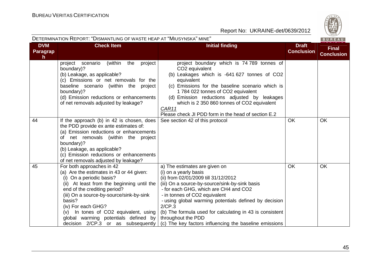

|                             | DETERMINATION REPORT: "DISMANTLING OF WASTE HEAP AT "MIUSYNSKA" MINE"                                                                                                                                                                                                                                                                                                                 |                                                                                                                                                                                                                                                                                                                                                                                                                                           |                                   | BUREAU                            |
|-----------------------------|---------------------------------------------------------------------------------------------------------------------------------------------------------------------------------------------------------------------------------------------------------------------------------------------------------------------------------------------------------------------------------------|-------------------------------------------------------------------------------------------------------------------------------------------------------------------------------------------------------------------------------------------------------------------------------------------------------------------------------------------------------------------------------------------------------------------------------------------|-----------------------------------|-----------------------------------|
| <b>DVM</b><br>Paragrap<br>h | <b>Check Item</b>                                                                                                                                                                                                                                                                                                                                                                     | <b>Initial finding</b>                                                                                                                                                                                                                                                                                                                                                                                                                    | <b>Draft</b><br><b>Conclusion</b> | <b>Final</b><br><b>Conclusion</b> |
|                             | project<br>(within<br>the<br>project<br>scenario<br>boundary)?<br>(b) Leakage, as applicable?<br>(c) Emissions or net removals for the<br>baseline scenario (within the project<br>boundary)?<br>(d) Emission reductions or enhancements<br>of net removals adjusted by leakage?                                                                                                      | project boundary which is 74 789 tonnes of<br>CO <sub>2</sub> equivalent<br>(b) Leakages which is -641 627 tonnes of CO2<br>equivalent<br>(c) Emissions for the baseline scenario which is<br>1784 022 tonnes of CO2 equivalent<br>(d) Emission reductions adjusted by leakages<br>which is 2 350 860 tonnes of CO2 equivalent<br>CAR11<br>Please check JI PDD form in the head of section E.2                                            |                                   |                                   |
| 44                          | If the approach (b) in 42 is chosen, does<br>the PDD provide ex ante estimates of:<br>(a) Emission reductions or enhancements<br>of net removals (within the project<br>boundary)?<br>(b) Leakage, as applicable?<br>(c) Emission reductions or enhancements<br>of net removals adjusted by leakage?                                                                                  | See section 42 of this protocol                                                                                                                                                                                                                                                                                                                                                                                                           | <b>OK</b>                         | <b>OK</b>                         |
| 45                          | For both approaches in 42<br>(a) Are the estimates in 43 or 44 given:<br>(i) On a periodic basis?<br>(ii) At least from the beginning until the<br>end of the crediting period?<br>(iii) On a source-by-source/sink-by-sink<br>basis?<br>(iv) For each GHG?<br>In tones of CO2 equivalent, using<br>(v)<br>global warming potentials defined by<br>decision 2/CP.3 or as subsequently | a) The estimates are given on<br>(i) on a yearly basis<br>(ii) from 02/01/2009 till 31/12/2012<br>(iii) On a source-by-source/sink-by-sink basis<br>- for each GHG, which are CH4 and CO2<br>- in tonnes of CO2 equivalent<br>- using global warming potentials defined by decision<br>2/CP.3<br>(b) The formula used for calculating in 43 is consistent<br>throughout the PDD<br>(c) The key factors influencing the baseline emissions | <b>OK</b>                         | OK                                |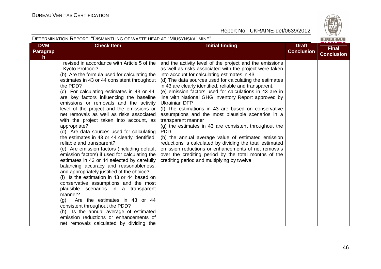

| DETERMINATION REPORT: "DISMANTLING OF WASTE HEAP AT "MIUSYNSKA" MINE"<br>BUREAU |                                                                                                                                                                                                                                                                                                                                                                                                                                                                                                                                                                                                                                                                                                                                                                                                                                                                                                                                                                                                                                                                                                                                                                                        |                                                                                                                                                                                                                                                                                                                                                                                                                                                                                                                                                                                                                                                                                                                                                                                                                                                                                                                      |                                   |                                   |  |  |  |
|---------------------------------------------------------------------------------|----------------------------------------------------------------------------------------------------------------------------------------------------------------------------------------------------------------------------------------------------------------------------------------------------------------------------------------------------------------------------------------------------------------------------------------------------------------------------------------------------------------------------------------------------------------------------------------------------------------------------------------------------------------------------------------------------------------------------------------------------------------------------------------------------------------------------------------------------------------------------------------------------------------------------------------------------------------------------------------------------------------------------------------------------------------------------------------------------------------------------------------------------------------------------------------|----------------------------------------------------------------------------------------------------------------------------------------------------------------------------------------------------------------------------------------------------------------------------------------------------------------------------------------------------------------------------------------------------------------------------------------------------------------------------------------------------------------------------------------------------------------------------------------------------------------------------------------------------------------------------------------------------------------------------------------------------------------------------------------------------------------------------------------------------------------------------------------------------------------------|-----------------------------------|-----------------------------------|--|--|--|
| <b>DVM</b><br>Paragrap<br>h.                                                    | <b>Check Item</b>                                                                                                                                                                                                                                                                                                                                                                                                                                                                                                                                                                                                                                                                                                                                                                                                                                                                                                                                                                                                                                                                                                                                                                      | <b>Initial finding</b>                                                                                                                                                                                                                                                                                                                                                                                                                                                                                                                                                                                                                                                                                                                                                                                                                                                                                               | <b>Draft</b><br><b>Conclusion</b> | <b>Final</b><br><b>Conclusion</b> |  |  |  |
|                                                                                 | revised in accordance with Article 5 of the<br>Kyoto Protocol?<br>(b) Are the formula used for calculating the<br>estimates in 43 or 44 consistent throughout<br>the PDD?<br>(c) For calculating estimates in 43 or 44,<br>are key factors influencing the baseline<br>emissions or removals and the activity<br>level of the project and the emissions or<br>net removals as well as risks associated<br>with the project taken into account, as<br>appropriate?<br>(d) Are data sources used for calculating<br>the estimates in 43 or 44 clearly identified,<br>reliable and transparent?<br>(e) Are emission factors (including default<br>emission factors) if used for calculating the<br>estimates in 43 or 44 selected by carefully<br>balancing accuracy and reasonableness,<br>and appropriately justified of the choice?<br>(f) Is the estimation in 43 or 44 based on<br>conservative assumptions and the most<br>plausible scenarios in a transparent<br>manner?<br>Are the estimates in 43 or 44<br>(g)<br>consistent throughout the PDD?<br>(h) Is the annual average of estimated<br>emission reductions or enhancements of<br>net removals calculated by dividing the | and the activity level of the project and the emissions<br>as well as risks associated with the project were taken<br>into account for calculating estimates in 43<br>(d) The data sources used for calculating the estimates<br>in 43 are clearly identified, reliable and transparent.<br>(e) emission factors used for calculations in 43 are in<br>line with National GHG Inventory Report approved by<br>Ukrainian DFP<br>(f) The estimations in 43 are based on conservative<br>assumptions and the most plausible scenarios in a<br>transparent manner<br>(g) the estimates in 43 are consistent throughout the<br><b>PDD</b><br>(h) the annual average value of estimated emission<br>reductions is calculated by dividing the total estimated<br>emission reductions or enhancements of net removals<br>over the crediting period by the total months of the<br>crediting period and multiplying by twelve. |                                   |                                   |  |  |  |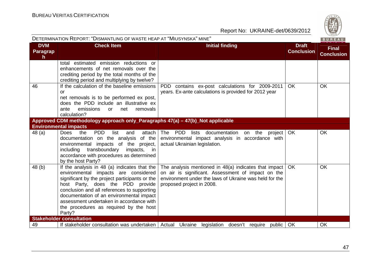

| DETERMINATION REPORT: "DISMANTLING OF WASTE HEAP AT "MIUSYNSKA" MINE" |                                                                                                                                                                                                                                                                                                                                                                       |                                                                                                                                                                                                    |                                   |                                   |  |
|-----------------------------------------------------------------------|-----------------------------------------------------------------------------------------------------------------------------------------------------------------------------------------------------------------------------------------------------------------------------------------------------------------------------------------------------------------------|----------------------------------------------------------------------------------------------------------------------------------------------------------------------------------------------------|-----------------------------------|-----------------------------------|--|
| <b>DVM</b><br>Paragrap<br>h                                           | <b>Check Item</b>                                                                                                                                                                                                                                                                                                                                                     | <b>Initial finding</b>                                                                                                                                                                             | <b>Draft</b><br><b>Conclusion</b> | <b>Final</b><br><b>Conclusion</b> |  |
|                                                                       | total estimated emission reductions or<br>enhancements of net removals over the<br>crediting period by the total months of the<br>crediting period and multiplying by twelve?                                                                                                                                                                                         |                                                                                                                                                                                                    |                                   |                                   |  |
| 46                                                                    | If the calculation of the baseline emissions<br>or<br>net removals is to be performed ex post,<br>does the PDD include an illustrative ex<br>emissions<br>ante<br>removals<br>net<br>or the control<br>calculation?                                                                                                                                                   | PDD contains ex-post calculations for 2009-2011<br>years. Ex-ante calculations is provided for 2012 year                                                                                           | <b>OK</b>                         | OK                                |  |
|                                                                       | Approved CDM methodology approach only_Paragraphs 47(a) - 47(b)_Not applicable<br><b>Environmental impacts</b>                                                                                                                                                                                                                                                        |                                                                                                                                                                                                    |                                   |                                   |  |
| 48(a)                                                                 | <b>PDD</b><br>attach<br>Does<br>the<br>list<br>and<br>documentation on the analysis<br>of the<br>impacts of the project,<br>environmental<br>transboundary<br>impacts,<br>including<br>in in<br>accordance with procedures as determined<br>by the host Party?                                                                                                        | The PDD lists documentation on the project<br>environmental impact analysis in accordance with<br>actual Ukrainian legislation.                                                                    | OK                                | OK                                |  |
| 48(b)                                                                 | If the analysis in 48 (a) indicates that the<br>environmental impacts are considered<br>significant by the project participants or the<br>host Party, does the PDD provide<br>conclusion and all references to supporting<br>documentation of an environmental impact<br>assessment undertaken in accordance with<br>the procedures as required by the host<br>Party? | The analysis mentioned in 48(a) indicates that impact<br>on air is significant. Assessment of impact on the<br>environment under the laws of Ukraine was held for the<br>proposed project in 2008. | <b>OK</b>                         | OK                                |  |
|                                                                       | <b>Stakeholder consultation</b>                                                                                                                                                                                                                                                                                                                                       |                                                                                                                                                                                                    |                                   |                                   |  |
| 49                                                                    |                                                                                                                                                                                                                                                                                                                                                                       | If stakeholder consultation was undertaken   Actual Ukraine legislation doesn't require public                                                                                                     | OK                                | OK                                |  |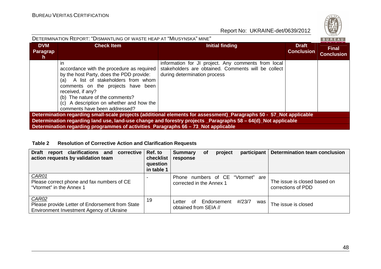| DETERMINATION REPORT: "DISMANTLING OF WASTE HEAP AT "MIUSYNSKA" MINE"                                               |                                                                                                                                                                                                                                                                                                                   |                                                                                                                                            |                                   |                                   |  |  |  |
|---------------------------------------------------------------------------------------------------------------------|-------------------------------------------------------------------------------------------------------------------------------------------------------------------------------------------------------------------------------------------------------------------------------------------------------------------|--------------------------------------------------------------------------------------------------------------------------------------------|-----------------------------------|-----------------------------------|--|--|--|
| <b>DVM</b><br>Paragrap<br>n.                                                                                        | <b>Check Item</b>                                                                                                                                                                                                                                                                                                 | Initial finding                                                                                                                            | <b>Draft</b><br><b>Conclusion</b> | <b>Final</b><br><b>Conclusion</b> |  |  |  |
|                                                                                                                     | in<br>accordance with the procedure as required<br>by the host Party, does the PDD provide:<br>A list of stakeholders from whom<br>(a)<br>comments on the projects have been<br>received, if any?<br>(b) The nature of the comments?<br>(c) A description on whether and how the<br>comments have been addressed? | information for JI project. Any comments from local<br>stakeholders are obtained. Comments will be collect<br>during determination process |                                   |                                   |  |  |  |
| Determination regarding small-scale projects (additional elements for assessment)_Paragraphs 50 - 57_Not applicable |                                                                                                                                                                                                                                                                                                                   |                                                                                                                                            |                                   |                                   |  |  |  |
| Determination regarding land use, land-use change and forestry projects Paragraphs 58 - 64(d) Not applicable        |                                                                                                                                                                                                                                                                                                                   |                                                                                                                                            |                                   |                                   |  |  |  |
| Determination regarding programmes of activities Paragraphs 66 – 73 Not applicable                                  |                                                                                                                                                                                                                                                                                                                   |                                                                                                                                            |                                   |                                   |  |  |  |

#### **Table 2 Resolution of Corrective Action and Clarification Requests**

| report clarifications and corrective<br><b>Draft</b><br>action requests by validation team                  | Ref. to<br>checklist<br>question<br>in table 1 | <b>Summary</b><br>response                                    | <b>of</b> | project     | participant |     | <b>Determination team conclusion</b>               |
|-------------------------------------------------------------------------------------------------------------|------------------------------------------------|---------------------------------------------------------------|-----------|-------------|-------------|-----|----------------------------------------------------|
| CAR01<br>Please correct phone and fax numbers of CE<br>"Vtormet" in the Annex 1                             |                                                | Phone numbers of CE "Vtormet" are<br>corrected in the Annex 1 |           |             |             |     | The issue is closed based on<br>corrections of PDD |
| <b>CAR02</b><br>Please provide Letter of Endorsement from State<br>Environment Investment Agency of Ukraine | 19                                             | ∩f<br>Letter<br>obtained from SEIA //                         |           | Endorsement | #/23/7      | was | The issue is closed                                |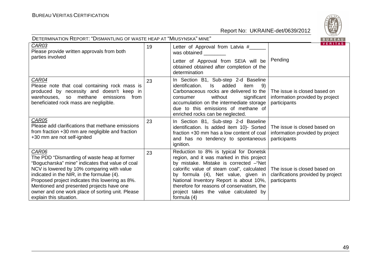

| DETERMINATION REPORT: "DISMANTLING OF WASTE HEAP AT "MIUSYNSKA" MINE"<br>BUREAU                                                                                                                                                                                                                                                                                                             |    |                                                                                                                                                                                                                                                                                                                                                                        |                                                                                    |  |  |  |
|---------------------------------------------------------------------------------------------------------------------------------------------------------------------------------------------------------------------------------------------------------------------------------------------------------------------------------------------------------------------------------------------|----|------------------------------------------------------------------------------------------------------------------------------------------------------------------------------------------------------------------------------------------------------------------------------------------------------------------------------------------------------------------------|------------------------------------------------------------------------------------|--|--|--|
| CAR03<br>Please provide written approvals from both<br>parties involved                                                                                                                                                                                                                                                                                                                     | 19 | Letter of Approval from Latvia #____<br>was obtained<br>Letter of Approval from SEIA will be<br>obtained obtained after completion of the<br>determination                                                                                                                                                                                                             | <b>VERITAS</b><br>Pending                                                          |  |  |  |
| CAR04<br>Please note that coal containing rock mass is<br>produced by necessity and doesn't keep in<br>warehouses, so methane<br>emissions<br>from<br>beneficiated rock mass are negligible.                                                                                                                                                                                                | 23 | In Section B1, Sub-step 2-d Baseline<br>added<br>identification.<br>ls l<br>item<br>-9)<br>Carbonaceous rocks are delivered to the<br>without<br>significant<br>consumer<br>accumulation on the intermediate storage<br>due to this emissions of methane of<br>enriched rocks can be neglected.                                                                        | The issue is closed based on<br>information provided by project<br>participants    |  |  |  |
| CAR05<br>Please add clarifications that methane emissions<br>from fraction +30 mm are negligible and fraction<br>+30 mm are not self-ignited                                                                                                                                                                                                                                                | 23 | In Section B1, Sub-step 2-d Baseline<br>identification. Is added item 10)- Sorted<br>fraction +30 mm has a low content of coal<br>and has no tendency to spontaneous<br>ignition.                                                                                                                                                                                      | The issue is closed based on<br>information provided by project<br>participants    |  |  |  |
| <b>CAR06</b><br>The PDD "Dismantling of waste heap at former<br>"Bogucharska" mine" indicates that value of coal<br>NCV is lowered by 10% comparing with value<br>indicated in the NIR, in the formulae (4).<br>Proposed project indicates this lowering as 8%.<br>Mentioned and presented projects have one<br>owner and one work place of sorting unit. Please<br>explain this situation. | 23 | Reduction to 8% is typical for Donetsk<br>region, and it was marked in this project<br>by mistake. Mistake is corrected - "Net<br>calorific value of steam coal", calculated<br>by formula (4), Net value, given in<br>National Inventory Report is about 10%,<br>therefore for reasons of conservatism, the<br>project takes the value calculated by<br>formula $(4)$ | The issue is closed based on<br>clarifications provided by project<br>participants |  |  |  |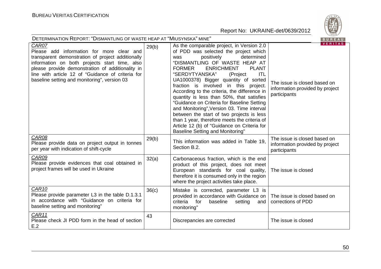

| $\sim$ $\sim$ $\sim$<br>DETERMINATION REPORT: "DISMANTLING OF WASTE HEAP AT "MIUSYNSKA" MINE"<br>BUREAU                                                                                                                                                                                                           |       |                                                                                                                                                                                                                                                                                                                                                                                                                                                                                                                                                                                                                                                                                                                           |                                                                                                   |  |
|-------------------------------------------------------------------------------------------------------------------------------------------------------------------------------------------------------------------------------------------------------------------------------------------------------------------|-------|---------------------------------------------------------------------------------------------------------------------------------------------------------------------------------------------------------------------------------------------------------------------------------------------------------------------------------------------------------------------------------------------------------------------------------------------------------------------------------------------------------------------------------------------------------------------------------------------------------------------------------------------------------------------------------------------------------------------------|---------------------------------------------------------------------------------------------------|--|
| CAR07<br>Please add information for more clear and<br>transparent demonstration of project additionally<br>information on both projects start time, also<br>please provide demonstration of additionality in<br>line with article 12 of "Guidance of criteria for<br>baseline setting and monitoring", version 03 | 29(b) | As the comparable project, in Version 2.0<br>of PDD was selected the project which<br>positively<br>determined<br>was<br>"DISMANTLING OF WASTE HEAP AT<br><b>ENRICHMENT</b><br><b>FORMER</b><br><b>PLANT</b><br>"SERDYTYANSKA"<br><b>ITL</b><br>(Project<br>UA1000378) Bigger quantity of sorted<br>fraction is involved in this project.<br>According to the criteria, the difference in<br>quantity is less than 50%, that satisfies<br>"Guidance on Criteria for Baseline Setting<br>and Monitoring", Version 03. Time interval<br>between the start of two projects is less<br>than 1 year, therefore meets the criteria of<br>Article 12 (b) of "Guidance on Criteria for<br><b>Baseline Setting and Monitoring"</b> | <b>VERITAS</b><br>The issue is closed based on<br>information provided by project<br>participants |  |
| <b>CAR08</b><br>Please provide data on project output in tonnes<br>per year with indication of shift-cycle                                                                                                                                                                                                        | 29(b) | This information was added in Table 19,<br>Section B.2.                                                                                                                                                                                                                                                                                                                                                                                                                                                                                                                                                                                                                                                                   | The issue is closed based on<br>information provided by project<br>participants                   |  |
| CAR09<br>Please provide evidences that coal obtained in<br>project frames will be used in Ukraine                                                                                                                                                                                                                 | 32(a) | Carbonaceous fraction, which is the end<br>product of this project, does not meet<br>European standards for coal quality,<br>therefore it is consumed only in the region<br>where the project activities take place.                                                                                                                                                                                                                                                                                                                                                                                                                                                                                                      | The issue is closed                                                                               |  |
| CAR <sub>10</sub><br>Please provide parameter L3 in the table D.1.3.1<br>in accordance with "Guidance on criteria for<br>baseline setting and monitoring"                                                                                                                                                         | 36(c) | Mistake is corrected, parameter L3 is<br>provided in accordance with Guidance on<br>for<br>criteria<br>baseline<br>setting<br>and<br>monitoring"                                                                                                                                                                                                                                                                                                                                                                                                                                                                                                                                                                          | The issue is closed based on<br>corrections of PDD                                                |  |
| CAR11<br>Please check JI PDD form in the head of section<br>E.2                                                                                                                                                                                                                                                   | 43    | Discrepancies are corrected                                                                                                                                                                                                                                                                                                                                                                                                                                                                                                                                                                                                                                                                                               | The issue is closed                                                                               |  |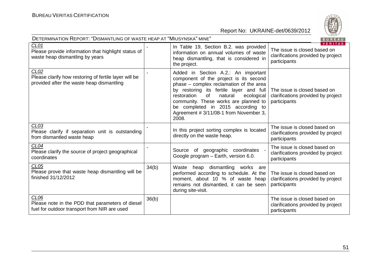

| DETERMINATION REPORT: "DISMANTLING OF WASTE HEAP AT "MIUSYNSKA" MINE"<br>BUREAU                            |       |                                                                                                                                                                                                                                                                                                                                                    |                                                                                                      |  |  |
|------------------------------------------------------------------------------------------------------------|-------|----------------------------------------------------------------------------------------------------------------------------------------------------------------------------------------------------------------------------------------------------------------------------------------------------------------------------------------------------|------------------------------------------------------------------------------------------------------|--|--|
| CL <sub>01</sub><br>Please provide information that highlight status of<br>waste heap dismantling by years |       | In Table 19, Section B.2. was provided<br>information on annual volumes of waste<br>heap dismantling, that is considered in<br>the project.                                                                                                                                                                                                        | <b>VERITAS</b><br>The issue is closed based on<br>clarifications provided by project<br>participants |  |  |
| CLO2<br>Please clarify how restoring of fertile layer will be<br>provided after the waste heap dismantling |       | Added in Section A.2.: An important<br>component of the project is its second<br>phase - complex reclamation of the area<br>by restoring its fertile layer and full<br>restoration<br>of<br>natural<br>ecological<br>community. These works are planned to<br>be completed in 2015 according to<br>Agreement # 3/11/08-1 from November 3,<br>2008. | The issue is closed based on<br>clarifications provided by project<br>participants                   |  |  |
| CLO3<br>Please clarify if separation unit is outstanding<br>from dismantled waste heap                     |       | In this project sorting complex is located<br>directly on the waste heap.                                                                                                                                                                                                                                                                          | The issue is closed based on<br>clarifications provided by project<br>participants                   |  |  |
| CL04<br>Please clarify the source of project geographical<br>coordinates                                   |       | of geographic coordinates<br>Source<br>Google program - Earth, version 6.0.                                                                                                                                                                                                                                                                        | The issue is closed based on<br>clarifications provided by project<br>participants                   |  |  |
| CL05<br>Please prove that waste heap dismantling will be<br>finished 31/12/2012                            | 34(b) | Waste heap dismantling works are<br>performed according to schedule. At the<br>moment, about 10 % of waste heap<br>remains not dismantled, it can be seen<br>during site-visit.                                                                                                                                                                    | The issue is closed based on<br>clarifications provided by project<br>participants                   |  |  |
| CL06<br>Please note in the PDD that parameters of diesel<br>fuel for outdoor transport from NIR are used   | 36(b) |                                                                                                                                                                                                                                                                                                                                                    | The issue is closed based on<br>clarifications provided by project<br>participants                   |  |  |